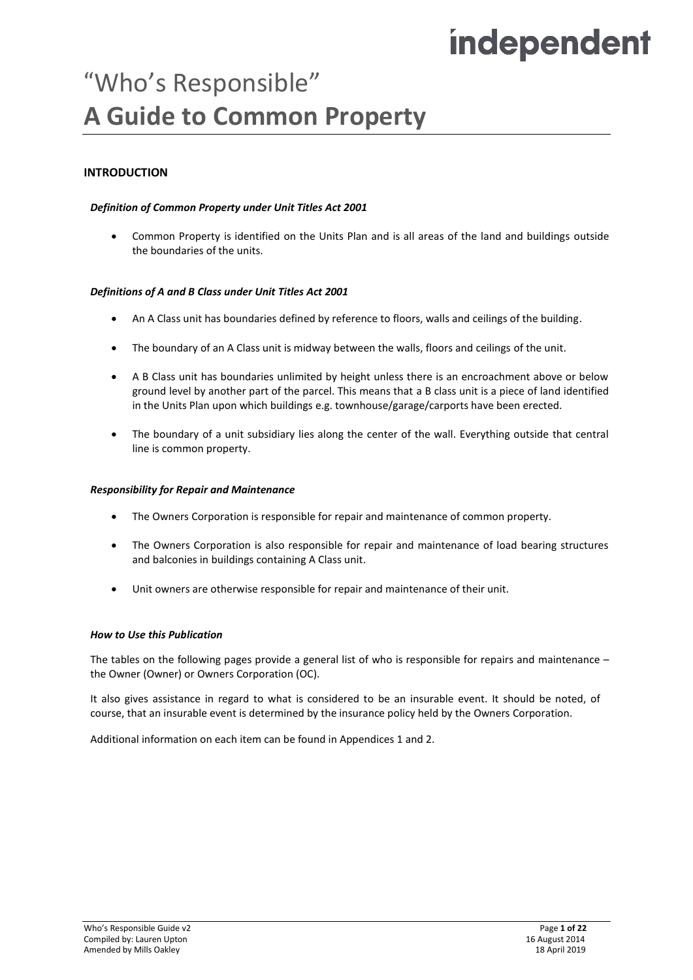# independent

# "Who's Responsible" **A Guide to Common Property**

# **INTRODUCTION**

## *Definition of Common Property under Unit Titles Act 2001*

• Common Property is identified on the Units Plan and is all areas of the land and buildings outside the boundaries of the units.

#### *Definitions of A and B Class under Unit Titles Act 2001*

- An A Class unit has boundaries defined by reference to floors, walls and ceilings of the building.
- The boundary of an A Class unit is midway between the walls, floors and ceilings of the unit.
- A B Class unit has boundaries unlimited by height unless there is an encroachment above or below ground level by another part of the parcel. This means that a B class unit is a piece of land identified in the Units Plan upon which buildings e.g. townhouse/garage/carports have been erected.
- The boundary of a unit subsidiary lies along the center of the wall. Everything outside that central line is common property.

#### *Responsibility for Repair and Maintenance*

- The Owners Corporation is responsible for repair and maintenance of common property.
- The Owners Corporation is also responsible for repair and maintenance of load bearing structures and balconies in buildings containing A Class unit.
- Unit owners are otherwise responsible for repair and maintenance of their unit.

#### *How to Use this Publication*

The tables on the following pages provide a general list of who is responsible for repairs and maintenance – the Owner (Owner) or Owners Corporation (OC).

It also gives assistance in regard to what is considered to be an insurable event. It should be noted, of course, that an insurable event is determined by the insurance policy held by the Owners Corporation.

Additional information on each item can be found in Appendices 1 and 2.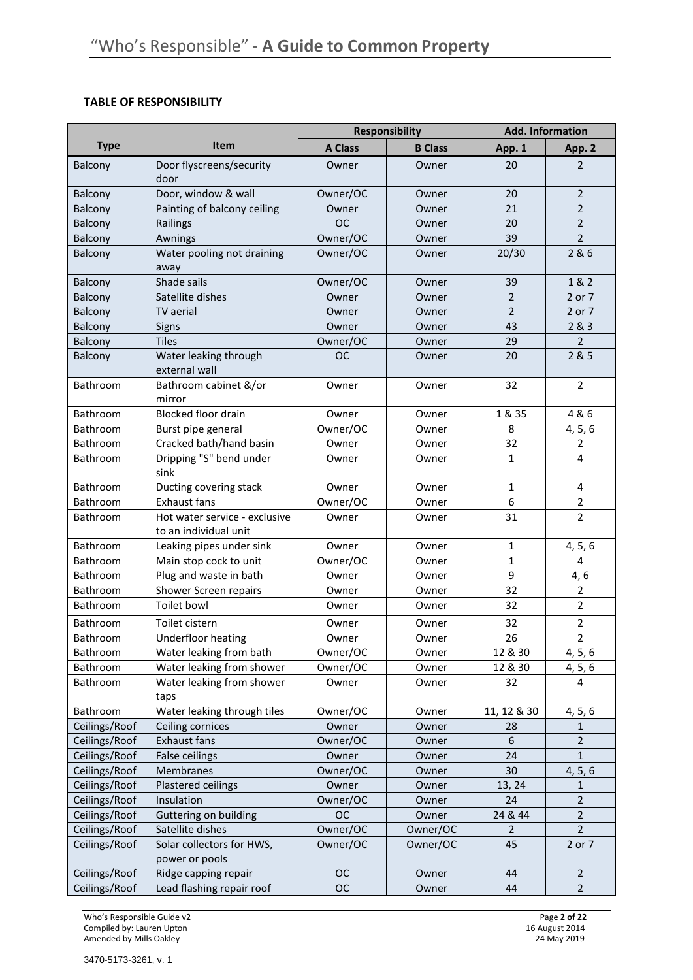## **TABLE OF RESPONSIBILITY**

|               |                                                        | <b>Responsibility</b> |                | <b>Add. Information</b> |                |
|---------------|--------------------------------------------------------|-----------------------|----------------|-------------------------|----------------|
| <b>Type</b>   | <b>Item</b>                                            | <b>A Class</b>        | <b>B</b> Class | App. 1                  | App. 2         |
| Balcony       | Door flyscreens/security<br>door                       | Owner                 | Owner          | 20                      | 2              |
| Balcony       | Door, window & wall                                    | Owner/OC              | Owner          | 20                      | $\overline{2}$ |
| Balcony       | Painting of balcony ceiling                            | Owner                 | Owner          | 21                      | $\overline{2}$ |
| Balcony       | Railings                                               | <b>OC</b>             | Owner          | 20                      | $\overline{2}$ |
| Balcony       | Awnings                                                | Owner/OC              | Owner          | 39                      | $\overline{2}$ |
| Balcony       | Water pooling not draining<br>away                     | Owner/OC              | Owner          | 20/30                   | 2&6            |
| Balcony       | Shade sails                                            | Owner/OC              | Owner          | 39                      | 1 & 2          |
| Balcony       | Satellite dishes                                       | Owner                 | Owner          | $\overline{2}$          | 2 or 7         |
| Balcony       | TV aerial                                              | Owner                 | Owner          | $\overline{2}$          | 2 or 7         |
| Balcony       | Signs                                                  | Owner                 | Owner          | 43                      | 2 & 3          |
| Balcony       | <b>Tiles</b>                                           | Owner/OC              | Owner          | 29                      | $\overline{2}$ |
| Balcony       | Water leaking through<br>external wall                 | <b>OC</b>             | Owner          | 20                      | 2 & 5          |
| Bathroom      | Bathroom cabinet &/or<br>mirror                        | Owner                 | Owner          | 32                      | $\overline{2}$ |
| Bathroom      | <b>Blocked floor drain</b>                             | Owner                 | Owner          | 1 & 35                  | 4 & 6          |
| Bathroom      | Burst pipe general                                     | Owner/OC              | Owner          | 8                       | 4, 5, 6        |
| Bathroom      | Cracked bath/hand basin                                | Owner                 | Owner          | 32                      | 2              |
| Bathroom      | Dripping "S" bend under<br>sink                        | Owner                 | Owner          | $\mathbf{1}$            | $\overline{4}$ |
| Bathroom      | Ducting covering stack                                 | Owner                 | Owner          | $\mathbf{1}$            | 4              |
| Bathroom      | <b>Exhaust fans</b>                                    | Owner/OC              | Owner          | 6                       | $\overline{2}$ |
| Bathroom      | Hot water service - exclusive<br>to an individual unit | Owner                 | Owner          | 31                      | $\overline{2}$ |
| Bathroom      | Leaking pipes under sink                               | Owner                 | Owner          | $\mathbf{1}$            | 4, 5, 6        |
| Bathroom      | Main stop cock to unit                                 | Owner/OC              | Owner          | $\mathbf{1}$            | 4              |
| Bathroom      | Plug and waste in bath                                 | Owner                 | Owner          | 9                       | 4, 6           |
| Bathroom      | Shower Screen repairs                                  | Owner                 | Owner          | 32                      | $\overline{2}$ |
| Bathroom      | Toilet bowl                                            | Owner                 | Owner          | 32                      | $\overline{2}$ |
| Bathroom      | Toilet cistern                                         | Owner                 | Owner          | 32                      | $\overline{2}$ |
| Bathroom      | Underfloor heating                                     | Owner                 | Owner          | 26                      | $\overline{2}$ |
| Bathroom      | Water leaking from bath                                | Owner/OC              | Owner          | 12 & 30                 | 4, 5, 6        |
| Bathroom      | Water leaking from shower                              | Owner/OC              | Owner          | 12 & 30                 | 4, 5, 6        |
| Bathroom      | Water leaking from shower<br>taps                      | Owner                 | Owner          | 32                      | 4              |
| Bathroom      | Water leaking through tiles                            | Owner/OC              | Owner          | 11, 12 & 30             | 4, 5, 6        |
| Ceilings/Roof | Ceiling cornices                                       | Owner                 | Owner          | 28                      | $\mathbf{1}$   |
| Ceilings/Roof | <b>Exhaust fans</b>                                    | Owner/OC              | Owner          | 6                       | $\overline{2}$ |
| Ceilings/Roof | False ceilings                                         | Owner                 | Owner          | 24                      | 1              |
| Ceilings/Roof | Membranes                                              | Owner/OC              | Owner          | 30                      | 4, 5, 6        |
| Ceilings/Roof | Plastered ceilings                                     | Owner                 | Owner          | 13, 24                  | 1              |
| Ceilings/Roof | Insulation                                             | Owner/OC              | Owner          | 24                      | $\overline{2}$ |
| Ceilings/Roof | Guttering on building                                  | <b>OC</b>             | Owner          | 24 & 44                 | $\overline{2}$ |
| Ceilings/Roof | Satellite dishes                                       | Owner/OC              | Owner/OC       | 2                       | $\overline{2}$ |
| Ceilings/Roof | Solar collectors for HWS,<br>power or pools            | Owner/OC              | Owner/OC       | 45                      | 2 or 7         |
| Ceilings/Roof | Ridge capping repair                                   | <b>OC</b>             | Owner          | 44                      | $\overline{2}$ |
| Ceilings/Roof | Lead flashing repair roof                              | <b>OC</b>             | Owner          | 44                      | $\overline{2}$ |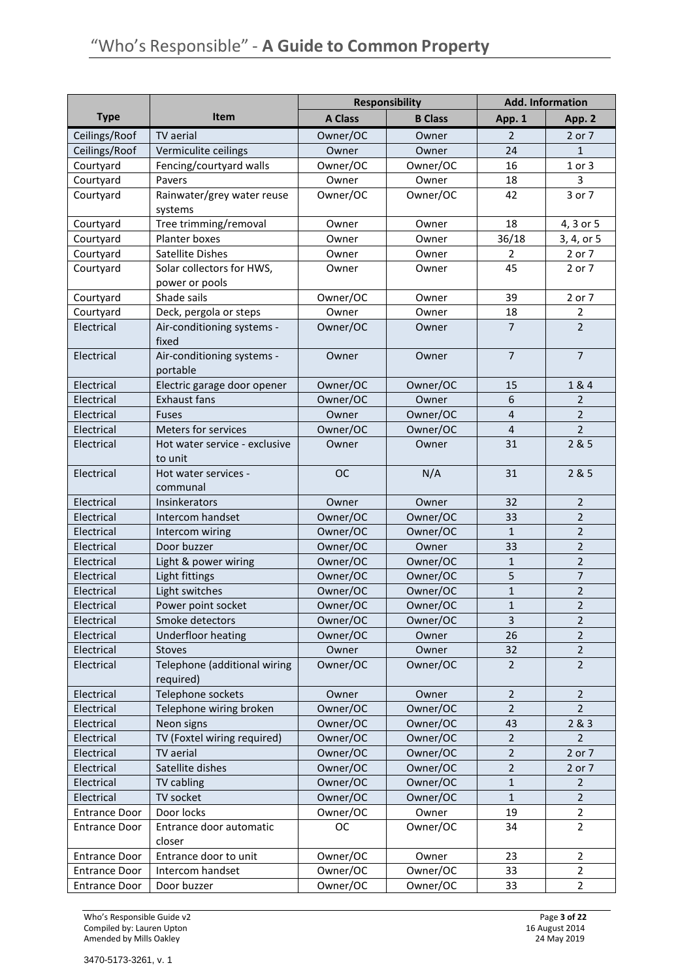|                      |                               | <b>Responsibility</b> |                |                | <b>Add. Information</b> |
|----------------------|-------------------------------|-----------------------|----------------|----------------|-------------------------|
| <b>Type</b>          | <b>Item</b>                   | <b>A Class</b>        | <b>B</b> Class | App. 1         | App. 2                  |
| Ceilings/Roof        | TV aerial                     | Owner/OC              | Owner          | 2              | 2 or 7                  |
| Ceilings/Roof        | Vermiculite ceilings          | Owner                 | Owner          | 24             | 1                       |
| Courtyard            | Fencing/courtyard walls       | Owner/OC              | Owner/OC       | 16             | $1$ or $3$              |
| Courtyard            | Pavers                        | Owner                 | Owner          | 18             | 3                       |
| Courtyard            | Rainwater/grey water reuse    | Owner/OC              | Owner/OC       | 42             | 3 or 7                  |
|                      | systems                       |                       |                |                |                         |
| Courtyard            | Tree trimming/removal         | Owner                 | Owner          | 18             | 4, 3 or 5               |
| Courtyard            | Planter boxes                 | Owner                 | Owner          | 36/18          | 3, 4, or 5              |
| Courtyard            | Satellite Dishes              | Owner                 | Owner          | $\overline{2}$ | 2 or 7                  |
| Courtyard            | Solar collectors for HWS,     | Owner                 | Owner          | 45             | 2 or 7                  |
|                      | power or pools                |                       |                |                |                         |
| Courtyard            | Shade sails                   | Owner/OC              | Owner          | 39             | 2 or 7                  |
| Courtyard            | Deck, pergola or steps        | Owner                 | Owner          | 18             | $\overline{2}$          |
| Electrical           | Air-conditioning systems -    | Owner/OC              | Owner          | $\overline{7}$ | $\overline{2}$          |
|                      | fixed                         |                       |                |                |                         |
| Electrical           | Air-conditioning systems -    | Owner                 | Owner          | $\overline{7}$ | $\overline{7}$          |
|                      | portable                      |                       |                |                |                         |
| Electrical           | Electric garage door opener   | Owner/OC              | Owner/OC       | 15             | 1&4                     |
| Electrical           | <b>Exhaust fans</b>           | Owner/OC              | Owner          | 6              | 2                       |
| Electrical           | Fuses                         | Owner                 | Owner/OC       | 4              | $\overline{2}$          |
| Electrical           | Meters for services           | Owner/OC              | Owner/OC       | $\overline{4}$ | $\overline{2}$          |
| Electrical           | Hot water service - exclusive | Owner                 | Owner          | 31             | 2 & 5                   |
|                      | to unit                       |                       |                |                |                         |
| Electrical           | Hot water services -          | <b>OC</b>             | N/A            | 31             | 2 & 5                   |
|                      | communal                      |                       |                |                |                         |
| Electrical           | Insinkerators                 | Owner                 | Owner          | 32             | $\overline{2}$          |
| Electrical           | Intercom handset              | Owner/OC              | Owner/OC       | 33             | $\overline{2}$          |
| Electrical           | Intercom wiring               | Owner/OC              | Owner/OC       | $\mathbf{1}$   | $\overline{2}$          |
| Electrical           | Door buzzer                   | Owner/OC              | Owner          | 33             | $\overline{2}$          |
| Electrical           | Light & power wiring          | Owner/OC              | Owner/OC       | $\mathbf{1}$   | $\overline{2}$          |
| Electrical           | Light fittings                | Owner/OC              | Owner/OC       | 5              | $\overline{7}$          |
| Electrical           | Light switches                | Owner/OC              | Owner/OC       | $\mathbf 1$    | $\mathbf 2$             |
| Electrical           | Power point socket            | Owner/OC              | Owner/OC       | $\mathbf{1}$   | $\overline{2}$          |
| Electrical           | Smoke detectors               | Owner/OC              | Owner/OC       | $\mathsf 3$    | $\overline{2}$          |
| Electrical           | Underfloor heating            | Owner/OC              | Owner          | 26             | $\overline{2}$          |
| Electrical           | Stoves                        | Owner                 | Owner          | 32             | $\overline{2}$          |
| Electrical           | Telephone (additional wiring  | Owner/OC              | Owner/OC       | $\overline{2}$ | $\overline{2}$          |
|                      | required)                     |                       |                |                |                         |
| Electrical           | Telephone sockets             | Owner                 | Owner          | $\mathbf 2$    | $\overline{2}$          |
| Electrical           | Telephone wiring broken       | Owner/OC              | Owner/OC       | $\overline{2}$ | 2                       |
| Electrical           | Neon signs                    | Owner/OC              | Owner/OC       | 43             | 2&3                     |
| Electrical           | TV (Foxtel wiring required)   | Owner/OC              | Owner/OC       | $\overline{2}$ | 2                       |
| Electrical           | TV aerial                     | Owner/OC              | Owner/OC       | 2              | 2 or 7                  |
| Electrical           | Satellite dishes              | Owner/OC              | Owner/OC       | $\mathbf 2$    | 2 or 7                  |
| Electrical           | TV cabling                    | Owner/OC              | Owner/OC       | $\mathbf{1}$   | $\overline{2}$          |
| Electrical           | TV socket                     | Owner/OC              | Owner/OC       | $\mathbf{1}$   | $\overline{2}$          |
| <b>Entrance Door</b> | Door locks                    | Owner/OC              | Owner          | 19             | $\overline{2}$          |
| <b>Entrance Door</b> | Entrance door automatic       | <b>OC</b>             | Owner/OC       | 34             | $\overline{2}$          |
|                      | closer                        |                       |                |                |                         |
| <b>Entrance Door</b> | Entrance door to unit         | Owner/OC              | Owner          | 23             | $\overline{2}$          |
| <b>Entrance Door</b> | Intercom handset              | Owner/OC              | Owner/OC       | 33             | $\overline{2}$          |
| <b>Entrance Door</b> | Door buzzer                   | Owner/OC              | Owner/OC       | 33             | $\overline{2}$          |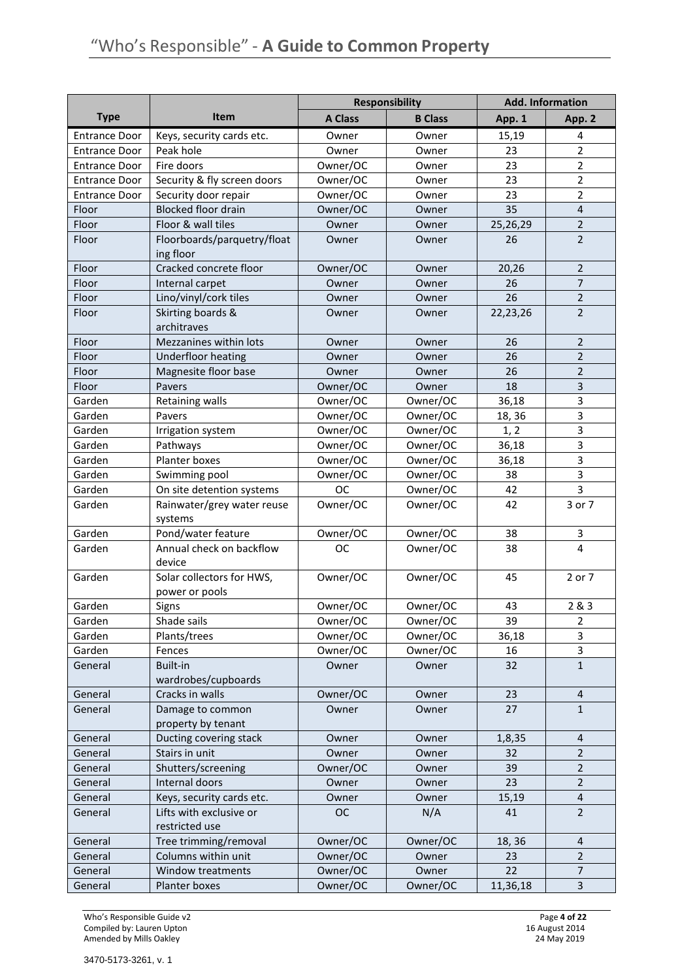|                      |                                             | <b>Responsibility</b> |                | <b>Add. Information</b> |                         |
|----------------------|---------------------------------------------|-----------------------|----------------|-------------------------|-------------------------|
| <b>Type</b>          | <b>Item</b>                                 | <b>A Class</b>        | <b>B</b> Class | App. 1                  | App. 2                  |
| <b>Entrance Door</b> | Keys, security cards etc.                   | Owner                 | Owner          | 15,19                   | 4                       |
| <b>Entrance Door</b> | Peak hole                                   | Owner                 | Owner          | 23                      | $\overline{2}$          |
| <b>Entrance Door</b> | Fire doors                                  | Owner/OC              | Owner          | 23                      | $\overline{2}$          |
| <b>Entrance Door</b> | Security & fly screen doors                 | Owner/OC              | Owner          | 23                      | $\overline{2}$          |
| <b>Entrance Door</b> | Security door repair                        | Owner/OC              | Owner          | 23                      | $\overline{2}$          |
| Floor                | <b>Blocked floor drain</b>                  | Owner/OC              | Owner          | 35                      | $\overline{4}$          |
| Floor                | Floor & wall tiles                          | Owner                 | Owner          | 25,26,29                | $\overline{2}$          |
| Floor                | Floorboards/parquetry/float<br>ing floor    | Owner                 | Owner          | 26                      | $\overline{2}$          |
| Floor                | Cracked concrete floor                      | Owner/OC              | Owner          | 20,26                   | 2                       |
| Floor                | Internal carpet                             | Owner                 | Owner          | 26                      | $\overline{7}$          |
| Floor                | Lino/vinyl/cork tiles                       | Owner                 | Owner          | 26                      | $\overline{2}$          |
| Floor                | Skirting boards &<br>architraves            | Owner                 | Owner          | 22,23,26                | $\overline{2}$          |
| Floor                | Mezzanines within lots                      | Owner                 | Owner          | 26                      | 2                       |
| Floor                | Underfloor heating                          | Owner                 | Owner          | 26                      | $\overline{2}$          |
| Floor                | Magnesite floor base                        | Owner                 | Owner          | 26                      | $\overline{2}$          |
| Floor                | Pavers                                      | Owner/OC              | Owner          | 18                      | 3                       |
| Garden               | <b>Retaining walls</b>                      | Owner/OC              | Owner/OC       | 36,18                   | 3                       |
| Garden               | Pavers                                      | Owner/OC              | Owner/OC       | 18, 36                  | 3                       |
| Garden               | Irrigation system                           | Owner/OC              | Owner/OC       | 1, 2                    | 3                       |
| Garden               | Pathways                                    | Owner/OC              | Owner/OC       | 36,18                   | 3                       |
| Garden               | Planter boxes                               | Owner/OC              | Owner/OC       | 36,18                   | 3                       |
| Garden               | Swimming pool                               | Owner/OC              | Owner/OC       | 38                      | 3                       |
| Garden               | On site detention systems                   | <b>OC</b>             | Owner/OC       | 42                      | 3                       |
| Garden               | Rainwater/grey water reuse<br>systems       | Owner/OC              | Owner/OC       | 42                      | 3 or 7                  |
| Garden               | Pond/water feature                          | Owner/OC              | Owner/OC       | 38                      | 3                       |
| Garden               | Annual check on backflow<br>device          | <b>OC</b>             | Owner/OC       | 38                      | $\overline{\mathbf{4}}$ |
| Garden               | Solar collectors for HWS,<br>power or pools | Owner/OC              | Owner/OC       | 45                      | 2 or 7                  |
| Garden               | Signs                                       | Owner/OC              | Owner/OC       | 43                      | 2 & 3                   |
| Garden               | Shade sails                                 | Owner/OC              | Owner/OC       | 39                      | $\overline{2}$          |
| Garden               | Plants/trees                                | Owner/OC              | Owner/OC       | 36,18                   | 3                       |
| Garden               | Fences                                      | Owner/OC              | Owner/OC       | 16                      | 3                       |
| General              | Built-in<br>wardrobes/cupboards             | Owner                 | Owner          | 32                      | $1\,$                   |
| General              | Cracks in walls                             | Owner/OC              | Owner          | 23                      | $\overline{\mathbf{4}}$ |
| General              | Damage to common<br>property by tenant      | Owner                 | Owner          | 27                      | $\mathbf{1}$            |
| General              | Ducting covering stack                      | Owner                 | Owner          | 1,8,35                  | $\overline{4}$          |
| General              | Stairs in unit                              | Owner                 | Owner          | 32                      | $\overline{2}$          |
| General              | Shutters/screening                          | Owner/OC              | Owner          | 39                      | $\overline{2}$          |
| General              | Internal doors                              | Owner                 | Owner          | 23                      | $\overline{2}$          |
| General              | Keys, security cards etc.                   | Owner                 | Owner          | 15,19                   | 4                       |
| General              | Lifts with exclusive or<br>restricted use   | <b>OC</b>             | N/A            | 41                      | $\overline{2}$          |
| General              | Tree trimming/removal                       | Owner/OC              | Owner/OC       | 18, 36                  | 4                       |
| General              | Columns within unit                         | Owner/OC              | Owner          | 23                      | $\overline{2}$          |
| General              | Window treatments                           | Owner/OC              | Owner          | 22                      | $\overline{7}$          |
| General              | Planter boxes                               | Owner/OC              | Owner/OC       | 11,36,18                | 3                       |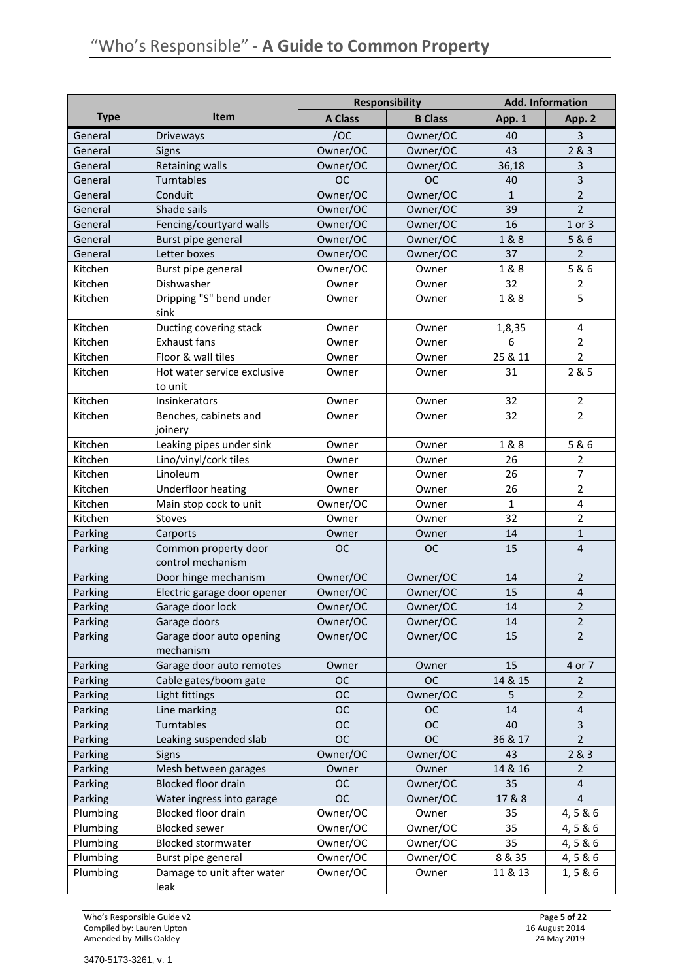|             |                             | <b>Responsibility</b> |                |              | <b>Add. Information</b> |
|-------------|-----------------------------|-----------------------|----------------|--------------|-------------------------|
| <b>Type</b> | <b>Item</b>                 | <b>A Class</b>        | <b>B</b> Class | App. 1       | App. 2                  |
| General     | Driveways                   | /OC                   | Owner/OC       | 40           | 3                       |
| General     | Signs                       | Owner/OC              | Owner/OC       | 43           | 2&3                     |
| General     | <b>Retaining walls</b>      | Owner/OC              | Owner/OC       | 36,18        | 3                       |
| General     | Turntables                  | <b>OC</b>             | <b>OC</b>      | 40           | 3                       |
| General     | Conduit                     | Owner/OC              | Owner/OC       | $\mathbf{1}$ | $\overline{2}$          |
| General     | Shade sails                 | Owner/OC              | Owner/OC       | 39           | $\overline{2}$          |
| General     | Fencing/courtyard walls     | Owner/OC              | Owner/OC       | 16           | 1 or 3                  |
| General     | Burst pipe general          | Owner/OC              | Owner/OC       | 1&8          | 5 & 6                   |
| General     | Letter boxes                | Owner/OC              | Owner/OC       | 37           | 2                       |
| Kitchen     | Burst pipe general          | Owner/OC              | Owner          | 1 & 8        | 5&6                     |
| Kitchen     | Dishwasher                  | Owner                 | Owner          | 32           | $\overline{2}$          |
| Kitchen     | Dripping "S" bend under     | Owner                 | Owner          | 1&8          | 5                       |
|             | sink                        |                       |                |              |                         |
| Kitchen     | Ducting covering stack      | Owner                 | Owner          | 1,8,35       | $\overline{\mathbf{4}}$ |
| Kitchen     | <b>Exhaust fans</b>         | Owner                 | Owner          | 6            | $\overline{2}$          |
| Kitchen     | Floor & wall tiles          | Owner                 | Owner          | 25 & 11      | $\overline{2}$          |
| Kitchen     | Hot water service exclusive | Owner                 | Owner          | 31           | 2 & 5                   |
|             | to unit                     |                       |                |              |                         |
| Kitchen     | Insinkerators               | Owner                 | Owner          | 32           | $\overline{2}$          |
| Kitchen     | Benches, cabinets and       | Owner                 | Owner          | 32           | $\overline{2}$          |
|             | joinery                     |                       |                |              |                         |
| Kitchen     | Leaking pipes under sink    | Owner                 | Owner          | 1&8          | 5 & 6                   |
| Kitchen     | Lino/vinyl/cork tiles       | Owner                 | Owner          | 26           | $\overline{2}$          |
| Kitchen     | Linoleum                    | Owner                 | Owner          | 26           | $\overline{7}$          |
| Kitchen     | <b>Underfloor heating</b>   | Owner                 | Owner          | 26           | $\overline{2}$          |
| Kitchen     | Main stop cock to unit      | Owner/OC              | Owner          | $\mathbf{1}$ | 4                       |
| Kitchen     | Stoves                      | Owner                 | Owner          | 32           | $\overline{2}$          |
| Parking     | Carports                    | Owner                 | Owner          | 14           | $1\,$                   |
| Parking     | Common property door        | <b>OC</b>             | <b>OC</b>      | 15           | $\overline{4}$          |
|             | control mechanism           |                       |                |              |                         |
| Parking     | Door hinge mechanism        | Owner/OC              | Owner/OC       | 14           | $\overline{2}$          |
| Parking     | Electric garage door opener | Owner/OC              | Owner/OC       | 15           | $\overline{\mathbf{4}}$ |
| Parking     | Garage door lock            | Owner/OC              | Owner/OC       | 14           | $\mathbf 2$             |
| Parking     | Garage doors                | Owner/OC              | Owner/OC       | 14           | $\overline{2}$          |
| Parking     | Garage door auto opening    | Owner/OC              | Owner/OC       | 15           | $\overline{2}$          |
|             | mechanism                   |                       |                |              |                         |
| Parking     | Garage door auto remotes    | Owner                 | Owner          | 15           | 4 or 7                  |
| Parking     | Cable gates/boom gate       | <b>OC</b>             | <b>OC</b>      | 14 & 15      | 2                       |
| Parking     | Light fittings              | <b>OC</b>             | Owner/OC       | 5            | 2                       |
| Parking     | Line marking                | <b>OC</b>             | <b>OC</b>      | 14           | $\overline{a}$          |
| Parking     | Turntables                  | <b>OC</b>             | <b>OC</b>      | 40           | 3                       |
| Parking     | Leaking suspended slab      | <b>OC</b>             | <b>OC</b>      | 36 & 17      | $\overline{2}$          |
| Parking     | Signs                       | Owner/OC              | Owner/OC       | 43           | 2 & 3                   |
| Parking     | Mesh between garages        | Owner                 | Owner          | 14 & 16      | 2                       |
| Parking     | <b>Blocked floor drain</b>  | <b>OC</b>             | Owner/OC       | 35           | $\overline{\mathbf{4}}$ |
| Parking     | Water ingress into garage   | <b>OC</b>             | Owner/OC       | 17 & 8       | $\overline{4}$          |
| Plumbing    | Blocked floor drain         | Owner/OC              | Owner          | 35           | 4,5 & 6                 |
| Plumbing    | <b>Blocked sewer</b>        | Owner/OC              | Owner/OC       | 35           | 4,5&6                   |
| Plumbing    | <b>Blocked stormwater</b>   | Owner/OC              | Owner/OC       | 35           | 4,5 & 6                 |
| Plumbing    | Burst pipe general          | Owner/OC              | Owner/OC       | 8 & 35       | 4,5 & 6                 |
| Plumbing    | Damage to unit after water  | Owner/OC              | Owner          | 11 & 13      | 1,5 & 6                 |
|             | leak                        |                       |                |              |                         |

Who's Responsible Guide v2<br>
Compiled by: Lauren Upton<br>
Amended by Mills Oakley<br>
24 May 2019 Compiled by: Lauren Upton 16 August 2014 Amended by Mills Oakley 24 May 2019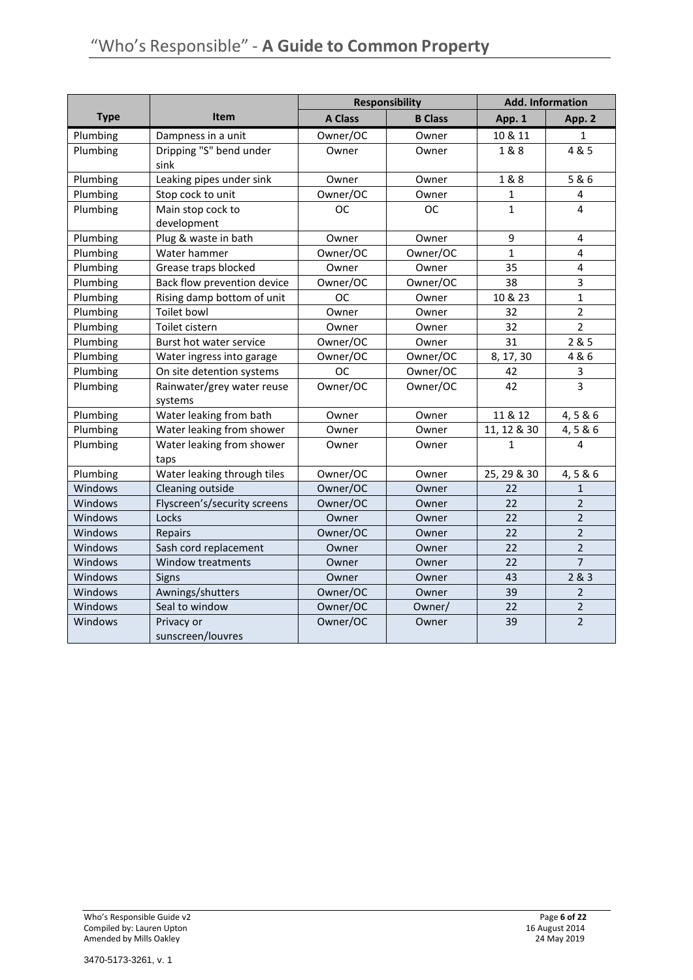|             |                                       |                | <b>Responsibility</b> | <b>Add. Information</b> |                |
|-------------|---------------------------------------|----------------|-----------------------|-------------------------|----------------|
| <b>Type</b> | <b>Item</b>                           | <b>A Class</b> | <b>B Class</b>        | App. 1                  | App. 2         |
| Plumbing    | Dampness in a unit                    | Owner/OC       | Owner                 | 10 & 11                 | $\mathbf{1}$   |
| Plumbing    | Dripping "S" bend under<br>sink       | Owner          | Owner                 | 1&8                     | 4 & 5          |
| Plumbing    | Leaking pipes under sink              | Owner          | Owner                 | 1 & 8                   | 5 & 6          |
| Plumbing    | Stop cock to unit                     | Owner/OC       | Owner                 | $\mathbf{1}$            | 4              |
| Plumbing    | Main stop cock to<br>development      | <b>OC</b>      | <b>OC</b>             | $\mathbf{1}$            | 4              |
| Plumbing    | Plug & waste in bath                  | Owner          | Owner                 | 9                       | 4              |
| Plumbing    | Water hammer                          | Owner/OC       | Owner/OC              | $\mathbf{1}$            | $\overline{4}$ |
| Plumbing    | Grease traps blocked                  | Owner          | Owner                 | 35                      | 4              |
| Plumbing    | Back flow prevention device           | Owner/OC       | Owner/OC              | 38                      | 3              |
| Plumbing    | Rising damp bottom of unit            | <b>OC</b>      | Owner                 | 10 & 23                 | $\mathbf{1}$   |
| Plumbing    | Toilet bowl                           | Owner          | Owner                 | 32                      | $\overline{2}$ |
| Plumbing    | Toilet cistern                        | Owner          | Owner                 | 32                      | $\overline{2}$ |
| Plumbing    | Burst hot water service               | Owner/OC       | Owner                 | 31                      | 285            |
| Plumbing    | Water ingress into garage             | Owner/OC       | Owner/OC              | 8, 17, 30               | 4 & 6          |
| Plumbing    | On site detention systems             | <b>OC</b>      | Owner/OC              | 42                      | 3              |
| Plumbing    | Rainwater/grey water reuse<br>systems | Owner/OC       | Owner/OC              | 42                      | 3              |
| Plumbing    | Water leaking from bath               | Owner          | Owner                 | 11 & 12                 | 4,5 & 6        |
| Plumbing    | Water leaking from shower             | Owner          | Owner                 | 11, 12 & 30             | 4,5 & 6        |
| Plumbing    | Water leaking from shower<br>taps     | Owner          | Owner                 | 1                       | 4              |
| Plumbing    | Water leaking through tiles           | Owner/OC       | Owner                 | 25, 29 & 30             | 4,5 & 6        |
| Windows     | Cleaning outside                      | Owner/OC       | Owner                 | 22                      | $\mathbf{1}$   |
| Windows     | Flyscreen's/security screens          | Owner/OC       | Owner                 | 22                      | $\overline{2}$ |
| Windows     | Locks                                 | Owner          | Owner                 | 22                      | $\overline{2}$ |
| Windows     | Repairs                               | Owner/OC       | Owner                 | 22                      | $\overline{2}$ |
| Windows     | Sash cord replacement                 | Owner          | Owner                 | 22                      | $\overline{2}$ |
| Windows     | Window treatments                     | Owner          | Owner                 | 22                      | $\overline{7}$ |
| Windows     | Signs                                 | Owner          | Owner                 | 43                      | 2&3            |
| Windows     | Awnings/shutters                      | Owner/OC       | Owner                 | 39                      | $\overline{2}$ |
| Windows     | Seal to window                        | Owner/OC       | Owner/                | 22                      | $\overline{2}$ |
| Windows     | Privacy or<br>sunscreen/louvres       | Owner/OC       | Owner                 | 39                      | $\overline{2}$ |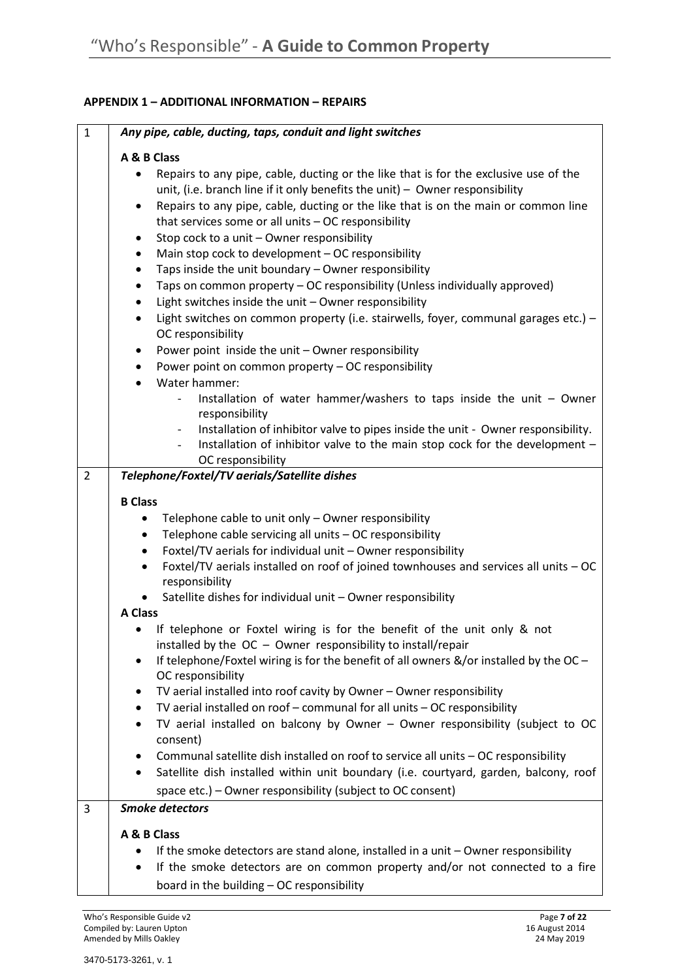# **APPENDIX 1 – ADDITIONAL INFORMATION – REPAIRS**

| $\mathbf{1}$   | Any pipe, cable, ducting, taps, conduit and light switches                                                                                                                                                                                                                                                                                                                                                                                                                                                                                                                                                                                                                                                                                                                                                                                                                            |
|----------------|---------------------------------------------------------------------------------------------------------------------------------------------------------------------------------------------------------------------------------------------------------------------------------------------------------------------------------------------------------------------------------------------------------------------------------------------------------------------------------------------------------------------------------------------------------------------------------------------------------------------------------------------------------------------------------------------------------------------------------------------------------------------------------------------------------------------------------------------------------------------------------------|
|                | A & B Class                                                                                                                                                                                                                                                                                                                                                                                                                                                                                                                                                                                                                                                                                                                                                                                                                                                                           |
|                | Repairs to any pipe, cable, ducting or the like that is for the exclusive use of the<br>unit, (i.e. branch line if it only benefits the unit) $-$ Owner responsibility<br>Repairs to any pipe, cable, ducting or the like that is on the main or common line<br>٠<br>that services some or all units - OC responsibility<br>Stop cock to a unit - Owner responsibility<br>٠<br>Main stop cock to development - OC responsibility<br>Taps inside the unit boundary - Owner responsibility<br>٠<br>Taps on common property - OC responsibility (Unless individually approved)<br>٠<br>Light switches inside the unit - Owner responsibility<br>٠<br>Light switches on common property (i.e. stairwells, foyer, communal garages etc.) -<br>٠<br>OC responsibility<br>Power point inside the unit - Owner responsibility<br>٠<br>Power point on common property - OC responsibility<br>٠ |
|                | Water hammer:<br>$\bullet$<br>Installation of water hammer/washers to taps inside the unit $-$ Owner                                                                                                                                                                                                                                                                                                                                                                                                                                                                                                                                                                                                                                                                                                                                                                                  |
|                | responsibility<br>Installation of inhibitor valve to pipes inside the unit - Owner responsibility.<br>$\overline{\phantom{a}}$<br>Installation of inhibitor valve to the main stop cock for the development -<br>OC responsibility                                                                                                                                                                                                                                                                                                                                                                                                                                                                                                                                                                                                                                                    |
| $\overline{2}$ | Telephone/Foxtel/TV aerials/Satellite dishes                                                                                                                                                                                                                                                                                                                                                                                                                                                                                                                                                                                                                                                                                                                                                                                                                                          |
|                | <b>B Class</b>                                                                                                                                                                                                                                                                                                                                                                                                                                                                                                                                                                                                                                                                                                                                                                                                                                                                        |
|                | Telephone cable to unit only - Owner responsibility<br>$\bullet$<br>Telephone cable servicing all units - OC responsibility<br>$\bullet$<br>Foxtel/TV aerials for individual unit - Owner responsibility<br>$\bullet$<br>Foxtel/TV aerials installed on roof of joined townhouses and services all units - OC<br>$\bullet$<br>responsibility<br>Satellite dishes for individual unit - Owner responsibility<br><b>A Class</b>                                                                                                                                                                                                                                                                                                                                                                                                                                                         |
|                | If telephone or Foxtel wiring is for the benefit of the unit only & not<br>installed by the $OC - O$ wner responsibility to install/repair<br>If telephone/Foxtel wiring is for the benefit of all owners $\&/$ or installed by the OC -                                                                                                                                                                                                                                                                                                                                                                                                                                                                                                                                                                                                                                              |
|                | OC responsibility<br>TV aerial installed into roof cavity by Owner - Owner responsibility                                                                                                                                                                                                                                                                                                                                                                                                                                                                                                                                                                                                                                                                                                                                                                                             |
|                | TV aerial installed on roof - communal for all units - OC responsibility                                                                                                                                                                                                                                                                                                                                                                                                                                                                                                                                                                                                                                                                                                                                                                                                              |
|                | TV aerial installed on balcony by Owner - Owner responsibility (subject to OC<br>consent)                                                                                                                                                                                                                                                                                                                                                                                                                                                                                                                                                                                                                                                                                                                                                                                             |
|                | Communal satellite dish installed on roof to service all units - OC responsibility<br>Satellite dish installed within unit boundary (i.e. courtyard, garden, balcony, roof<br>٠<br>space etc.) - Owner responsibility (subject to OC consent)                                                                                                                                                                                                                                                                                                                                                                                                                                                                                                                                                                                                                                         |
| 3              | <b>Smoke detectors</b>                                                                                                                                                                                                                                                                                                                                                                                                                                                                                                                                                                                                                                                                                                                                                                                                                                                                |
|                | A & B Class<br>If the smoke detectors are stand alone, installed in a unit - Owner responsibility<br>If the smoke detectors are on common property and/or not connected to a fire<br>$\bullet$<br>board in the building - OC responsibility                                                                                                                                                                                                                                                                                                                                                                                                                                                                                                                                                                                                                                           |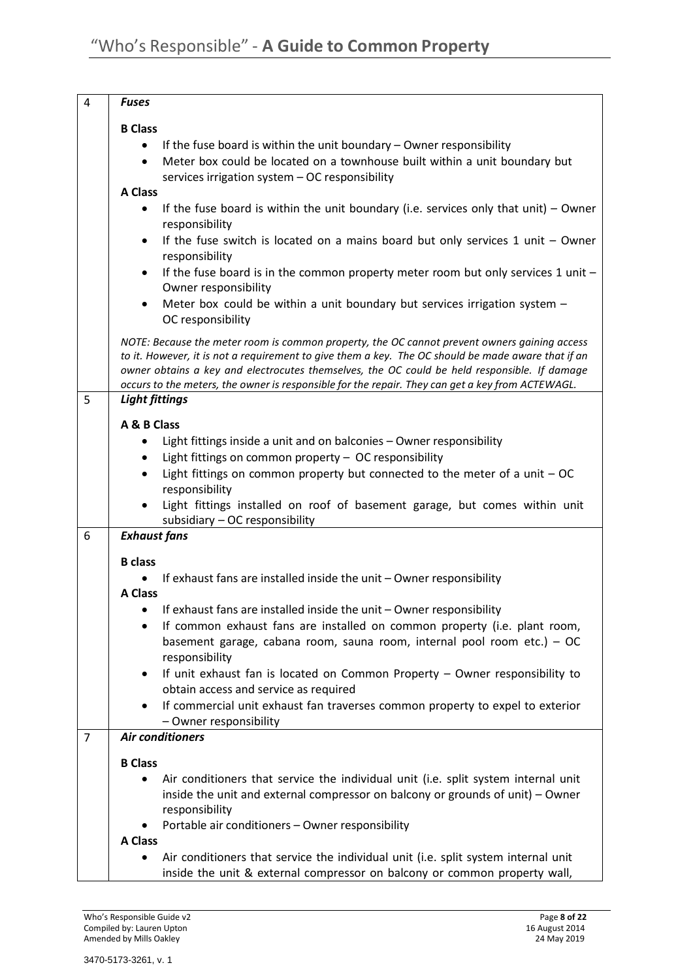| 4              | <b>Fuses</b>                                                                                                                                                                                       |
|----------------|----------------------------------------------------------------------------------------------------------------------------------------------------------------------------------------------------|
|                | <b>B</b> Class                                                                                                                                                                                     |
|                | If the fuse board is within the unit boundary - Owner responsibility<br>$\bullet$                                                                                                                  |
|                | Meter box could be located on a townhouse built within a unit boundary but<br>$\bullet$                                                                                                            |
|                | services irrigation system - OC responsibility<br><b>A Class</b>                                                                                                                                   |
|                | If the fuse board is within the unit boundary (i.e. services only that unit) $-$ Owner<br>$\bullet$                                                                                                |
|                | responsibility                                                                                                                                                                                     |
|                | If the fuse switch is located on a mains board but only services $1$ unit $-$ Owner<br>$\bullet$<br>responsibility                                                                                 |
|                | If the fuse board is in the common property meter room but only services 1 unit -<br>$\bullet$                                                                                                     |
|                | Owner responsibility                                                                                                                                                                               |
|                | Meter box could be within a unit boundary but services irrigation system -<br>$\bullet$                                                                                                            |
|                | OC responsibility                                                                                                                                                                                  |
|                | NOTE: Because the meter room is common property, the OC cannot prevent owners gaining access<br>to it. However, it is not a requirement to give them a key. The OC should be made aware that if an |
|                | owner obtains a key and electrocutes themselves, the OC could be held responsible. If damage                                                                                                       |
|                | occurs to the meters, the owner is responsible for the repair. They can get a key from ACTEWAGL.                                                                                                   |
| 5              | <b>Light fittings</b>                                                                                                                                                                              |
|                | A & B Class                                                                                                                                                                                        |
|                | Light fittings inside a unit and on balconies - Owner responsibility                                                                                                                               |
|                | Light fittings on common property - OC responsibility<br>$\bullet$                                                                                                                                 |
|                | Light fittings on common property but connected to the meter of a unit $-$ OC<br>$\bullet$<br>responsibility                                                                                       |
|                | Light fittings installed on roof of basement garage, but comes within unit                                                                                                                         |
|                | subsidiary - OC responsibility                                                                                                                                                                     |
| 6              | <b>Exhaust fans</b>                                                                                                                                                                                |
|                | <b>B</b> class                                                                                                                                                                                     |
|                | If exhaust fans are installed inside the unit - Owner responsibility                                                                                                                               |
|                | <b>A Class</b>                                                                                                                                                                                     |
|                | If exhaust fans are installed inside the unit - Owner responsibility                                                                                                                               |
|                | If common exhaust fans are installed on common property (i.e. plant room,                                                                                                                          |
|                | basement garage, cabana room, sauna room, internal pool room etc.) - OC<br>responsibility                                                                                                          |
|                | If unit exhaust fan is located on Common Property - Owner responsibility to                                                                                                                        |
|                | obtain access and service as required                                                                                                                                                              |
|                | If commercial unit exhaust fan traverses common property to expel to exterior                                                                                                                      |
|                | - Owner responsibility                                                                                                                                                                             |
| $\overline{7}$ | <b>Air conditioners</b>                                                                                                                                                                            |
|                | <b>B</b> Class                                                                                                                                                                                     |
|                | Air conditioners that service the individual unit (i.e. split system internal unit<br>٠                                                                                                            |
|                | inside the unit and external compressor on balcony or grounds of unit) - Owner<br>responsibility                                                                                                   |
|                | Portable air conditioners - Owner responsibility                                                                                                                                                   |
|                | <b>A Class</b>                                                                                                                                                                                     |
|                | Air conditioners that service the individual unit (i.e. split system internal unit                                                                                                                 |
|                | inside the unit & external compressor on balcony or common property wall,                                                                                                                          |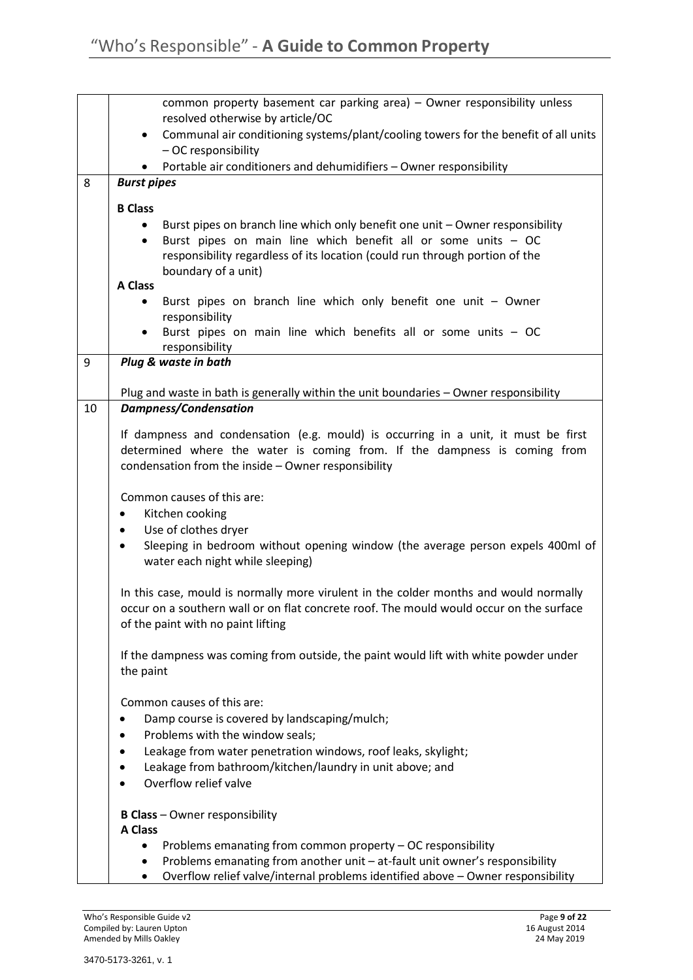|    | common property basement car parking area) - Owner responsibility unless<br>resolved otherwise by article/OC |
|----|--------------------------------------------------------------------------------------------------------------|
|    | Communal air conditioning systems/plant/cooling towers for the benefit of all units<br>$\bullet$             |
|    | - OC responsibility                                                                                          |
|    | Portable air conditioners and dehumidifiers - Owner responsibility                                           |
| 8  | <b>Burst pipes</b>                                                                                           |
|    | <b>B Class</b>                                                                                               |
|    | Burst pipes on branch line which only benefit one unit - Owner responsibility                                |
|    | Burst pipes on main line which benefit all or some units - OC                                                |
|    | responsibility regardless of its location (could run through portion of the                                  |
|    | boundary of a unit)                                                                                          |
|    | <b>A Class</b>                                                                                               |
|    | Burst pipes on branch line which only benefit one unit - Owner                                               |
|    | responsibility                                                                                               |
|    | Burst pipes on main line which benefits all or some units - OC<br>responsibility                             |
| 9  | Plug & waste in bath                                                                                         |
|    | Plug and waste in bath is generally within the unit boundaries - Owner responsibility                        |
| 10 | <b>Dampness/Condensation</b>                                                                                 |
|    |                                                                                                              |
|    | If dampness and condensation (e.g. mould) is occurring in a unit, it must be first                           |
|    | determined where the water is coming from. If the dampness is coming from                                    |
|    | condensation from the inside - Owner responsibility                                                          |
|    | Common causes of this are:                                                                                   |
|    | Kitchen cooking<br>٠                                                                                         |
|    | Use of clothes dryer<br>٠                                                                                    |
|    | Sleeping in bedroom without opening window (the average person expels 400ml of                               |
|    | water each night while sleeping)                                                                             |
|    |                                                                                                              |
|    | In this case, mould is normally more virulent in the colder months and would normally                        |
|    | occur on a southern wall or on flat concrete roof. The mould would occur on the surface                      |
|    | of the paint with no paint lifting                                                                           |
|    | If the dampness was coming from outside, the paint would lift with white powder under                        |
|    | the paint                                                                                                    |
|    | Common causes of this are:                                                                                   |
|    | Damp course is covered by landscaping/mulch;                                                                 |
|    |                                                                                                              |
|    | Problems with the window seals;                                                                              |
|    | Leakage from water penetration windows, roof leaks, skylight;                                                |
|    | Leakage from bathroom/kitchen/laundry in unit above; and                                                     |
|    | Overflow relief valve                                                                                        |
|    | <b>B Class</b> - Owner responsibility                                                                        |
|    | <b>A Class</b>                                                                                               |
|    | Problems emanating from common property - OC responsibility                                                  |
|    | Problems emanating from another unit - at-fault unit owner's responsibility                                  |
|    | Overflow relief valve/internal problems identified above - Owner responsibility                              |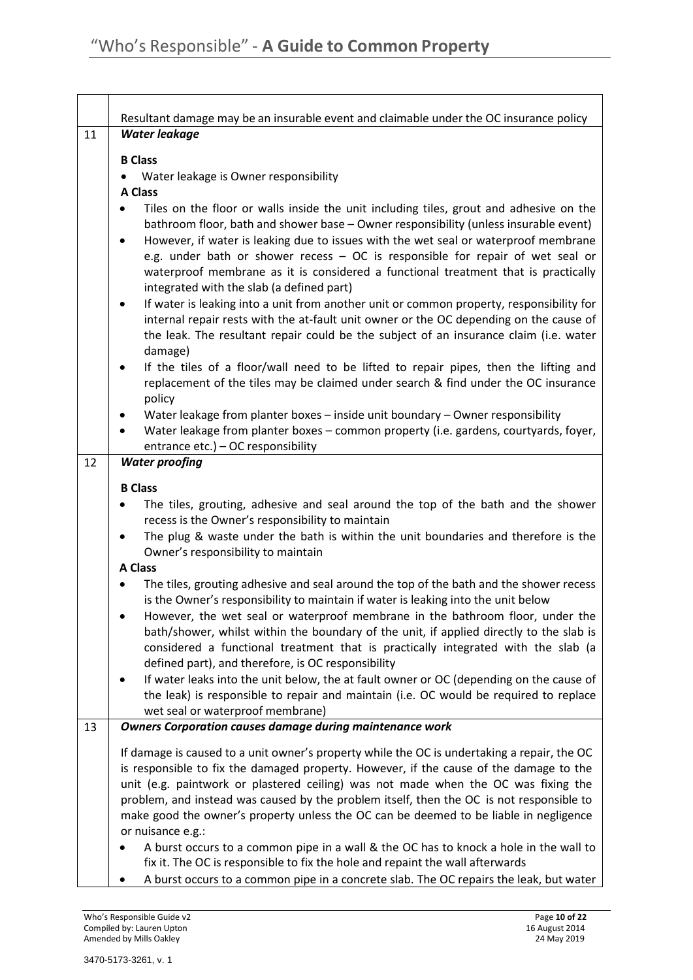|    | Resultant damage may be an insurable event and claimable under the OC insurance policy                                                                                                                                                                                                                                                                                                                                                                                                                          |  |  |
|----|-----------------------------------------------------------------------------------------------------------------------------------------------------------------------------------------------------------------------------------------------------------------------------------------------------------------------------------------------------------------------------------------------------------------------------------------------------------------------------------------------------------------|--|--|
| 11 | Water leakage                                                                                                                                                                                                                                                                                                                                                                                                                                                                                                   |  |  |
|    | <b>B</b> Class                                                                                                                                                                                                                                                                                                                                                                                                                                                                                                  |  |  |
|    | Water leakage is Owner responsibility                                                                                                                                                                                                                                                                                                                                                                                                                                                                           |  |  |
|    | <b>A Class</b>                                                                                                                                                                                                                                                                                                                                                                                                                                                                                                  |  |  |
|    | Tiles on the floor or walls inside the unit including tiles, grout and adhesive on the<br>$\bullet$<br>bathroom floor, bath and shower base - Owner responsibility (unless insurable event)                                                                                                                                                                                                                                                                                                                     |  |  |
|    | However, if water is leaking due to issues with the wet seal or waterproof membrane<br>$\bullet$<br>e.g. under bath or shower recess - OC is responsible for repair of wet seal or<br>waterproof membrane as it is considered a functional treatment that is practically                                                                                                                                                                                                                                        |  |  |
|    | integrated with the slab (a defined part)                                                                                                                                                                                                                                                                                                                                                                                                                                                                       |  |  |
|    | If water is leaking into a unit from another unit or common property, responsibility for<br>٠<br>internal repair rests with the at-fault unit owner or the OC depending on the cause of<br>the leak. The resultant repair could be the subject of an insurance claim (i.e. water<br>damage)                                                                                                                                                                                                                     |  |  |
|    | If the tiles of a floor/wall need to be lifted to repair pipes, then the lifting and<br>٠<br>replacement of the tiles may be claimed under search & find under the OC insurance<br>policy                                                                                                                                                                                                                                                                                                                       |  |  |
|    | Water leakage from planter boxes - inside unit boundary - Owner responsibility                                                                                                                                                                                                                                                                                                                                                                                                                                  |  |  |
|    | Water leakage from planter boxes - common property (i.e. gardens, courtyards, foyer,<br>$\bullet$                                                                                                                                                                                                                                                                                                                                                                                                               |  |  |
|    | entrance etc.) - OC responsibility                                                                                                                                                                                                                                                                                                                                                                                                                                                                              |  |  |
| 12 | <b>Water proofing</b>                                                                                                                                                                                                                                                                                                                                                                                                                                                                                           |  |  |
|    | <b>B Class</b>                                                                                                                                                                                                                                                                                                                                                                                                                                                                                                  |  |  |
|    | The tiles, grouting, adhesive and seal around the top of the bath and the shower                                                                                                                                                                                                                                                                                                                                                                                                                                |  |  |
|    | recess is the Owner's responsibility to maintain<br>The plug & waste under the bath is within the unit boundaries and therefore is the                                                                                                                                                                                                                                                                                                                                                                          |  |  |
|    | ٠<br>Owner's responsibility to maintain                                                                                                                                                                                                                                                                                                                                                                                                                                                                         |  |  |
|    | <b>A Class</b>                                                                                                                                                                                                                                                                                                                                                                                                                                                                                                  |  |  |
|    | The tiles, grouting adhesive and seal around the top of the bath and the shower recess<br>$\bullet$<br>is the Owner's responsibility to maintain if water is leaking into the unit below<br>However, the wet seal or waterproof membrane in the bathroom floor, under the<br>bath/shower, whilst within the boundary of the unit, if applied directly to the slab is<br>considered a functional treatment that is practically integrated with the slab (a<br>defined part), and therefore, is OC responsibility |  |  |
|    | If water leaks into the unit below, the at fault owner or OC (depending on the cause of<br>the leak) is responsible to repair and maintain (i.e. OC would be required to replace<br>wet seal or waterproof membrane)                                                                                                                                                                                                                                                                                            |  |  |
| 13 | <b>Owners Corporation causes damage during maintenance work</b>                                                                                                                                                                                                                                                                                                                                                                                                                                                 |  |  |
|    | If damage is caused to a unit owner's property while the OC is undertaking a repair, the OC<br>is responsible to fix the damaged property. However, if the cause of the damage to the<br>unit (e.g. paintwork or plastered ceiling) was not made when the OC was fixing the<br>problem, and instead was caused by the problem itself, then the OC is not responsible to<br>make good the owner's property unless the OC can be deemed to be liable in negligence<br>or nuisance e.g.:                           |  |  |
|    | A burst occurs to a common pipe in a wall & the OC has to knock a hole in the wall to<br>fix it. The OC is responsible to fix the hole and repaint the wall afterwards<br>A burst occurs to a common pipe in a concrete slab. The OC repairs the leak, but water                                                                                                                                                                                                                                                |  |  |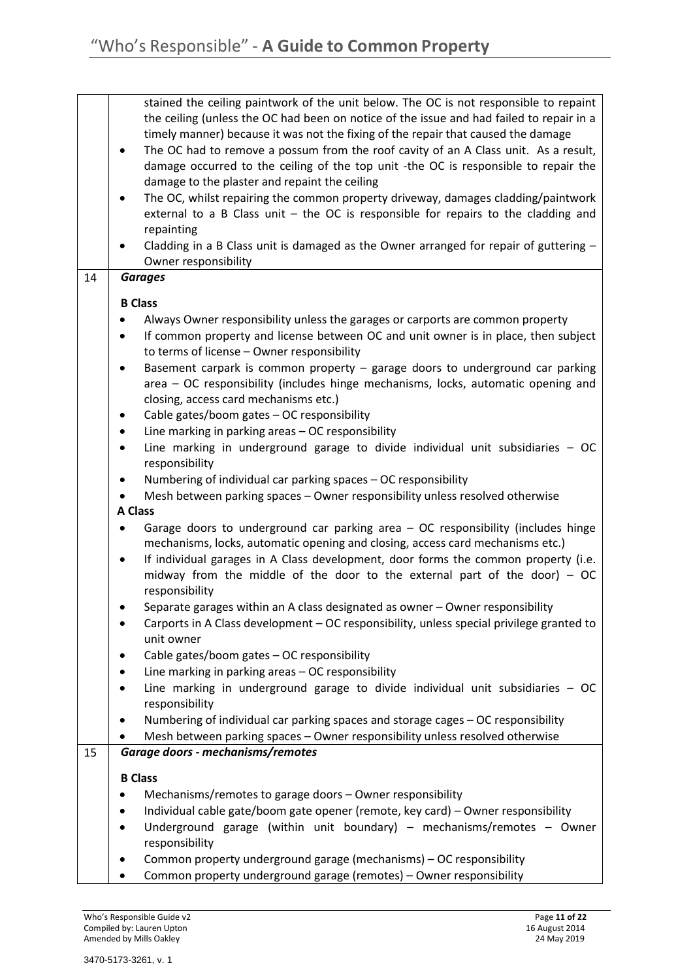|    | stained the ceiling paintwork of the unit below. The OC is not responsible to repaint                             |
|----|-------------------------------------------------------------------------------------------------------------------|
|    | the ceiling (unless the OC had been on notice of the issue and had failed to repair in a                          |
|    | timely manner) because it was not the fixing of the repair that caused the damage                                 |
|    | The OC had to remove a possum from the roof cavity of an A Class unit. As a result,                               |
|    | damage occurred to the ceiling of the top unit -the OC is responsible to repair the                               |
|    | damage to the plaster and repaint the ceiling                                                                     |
|    | The OC, whilst repairing the common property driveway, damages cladding/paintwork                                 |
|    | external to a B Class unit $-$ the OC is responsible for repairs to the cladding and                              |
|    |                                                                                                                   |
|    | repainting                                                                                                        |
|    | Cladding in a B Class unit is damaged as the Owner arranged for repair of guttering $-$                           |
|    | Owner responsibility                                                                                              |
| 14 | <b>Garages</b>                                                                                                    |
|    | <b>B</b> Class                                                                                                    |
|    |                                                                                                                   |
|    | Always Owner responsibility unless the garages or carports are common property                                    |
|    | If common property and license between OC and unit owner is in place, then subject                                |
|    | to terms of license - Owner responsibility                                                                        |
|    | Basement carpark is common property - garage doors to underground car parking<br>٠                                |
|    | area - OC responsibility (includes hinge mechanisms, locks, automatic opening and                                 |
|    | closing, access card mechanisms etc.)                                                                             |
|    | Cable gates/boom gates - OC responsibility<br>٠                                                                   |
|    | Line marking in parking areas - OC responsibility<br>$\bullet$                                                    |
|    | Line marking in underground garage to divide individual unit subsidiaries $-OC$<br>٠                              |
|    | responsibility                                                                                                    |
|    | Numbering of individual car parking spaces - OC responsibility<br>٠                                               |
|    |                                                                                                                   |
|    | Mesh between parking spaces - Owner responsibility unless resolved otherwise<br><b>A Class</b>                    |
|    |                                                                                                                   |
|    | Garage doors to underground car parking area - OC responsibility (includes hinge                                  |
|    | mechanisms, locks, automatic opening and closing, access card mechanisms etc.)                                    |
|    | If individual garages in A Class development, door forms the common property (i.e.                                |
|    | midway from the middle of the door to the external part of the door) $-$ OC                                       |
|    | responsibility                                                                                                    |
|    | Separate garages within an A class designated as owner - Owner responsibility                                     |
|    | Carports in A Class development - OC responsibility, unless special privilege granted to                          |
|    | unit owner                                                                                                        |
|    | Cable gates/boom gates - OC responsibility                                                                        |
|    | Line marking in parking areas - OC responsibility                                                                 |
|    | Line marking in underground garage to divide individual unit subsidiaries $-OC$                                   |
|    | responsibility                                                                                                    |
|    | Numbering of individual car parking spaces and storage cages - OC responsibility                                  |
|    |                                                                                                                   |
| 15 | Mesh between parking spaces - Owner responsibility unless resolved otherwise<br>Garage doors - mechanisms/remotes |
|    |                                                                                                                   |
|    | <b>B</b> Class                                                                                                    |
|    | Mechanisms/remotes to garage doors - Owner responsibility                                                         |
|    | Individual cable gate/boom gate opener (remote, key card) - Owner responsibility                                  |
|    | Underground garage (within unit boundary) - mechanisms/remotes - Owner                                            |
|    |                                                                                                                   |
|    | responsibility                                                                                                    |
|    | Common property underground garage (mechanisms) - OC responsibility                                               |
|    | Common property underground garage (remotes) - Owner responsibility                                               |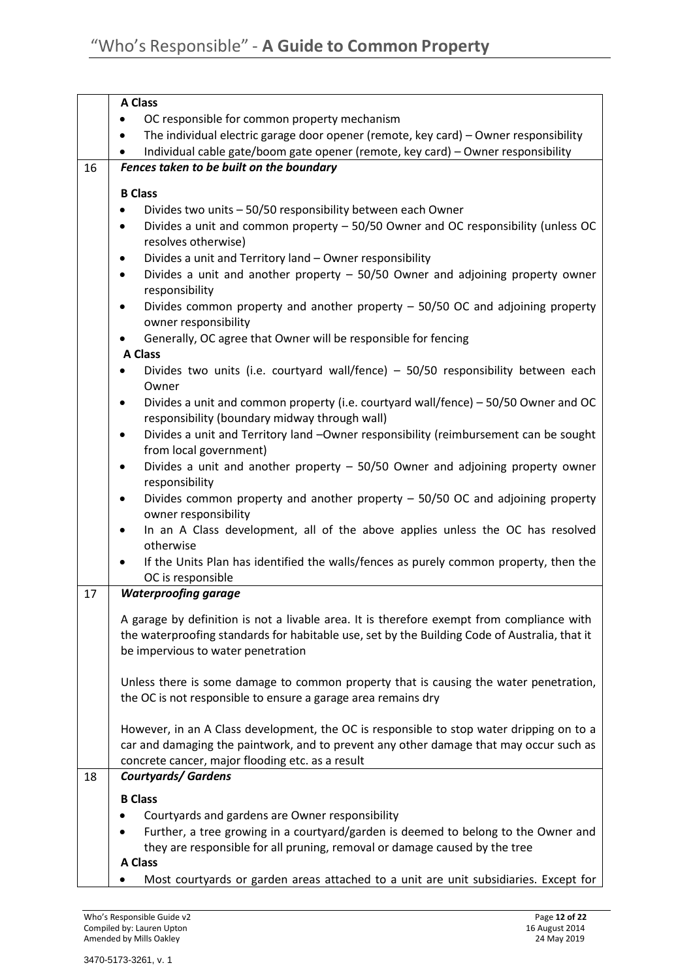|    | <b>A Class</b>                                                                                                                                                                             |
|----|--------------------------------------------------------------------------------------------------------------------------------------------------------------------------------------------|
|    | OC responsible for common property mechanism                                                                                                                                               |
|    | The individual electric garage door opener (remote, key card) - Owner responsibility                                                                                                       |
|    | Individual cable gate/boom gate opener (remote, key card) - Owner responsibility                                                                                                           |
| 16 | Fences taken to be built on the boundary                                                                                                                                                   |
|    | <b>B Class</b>                                                                                                                                                                             |
|    | Divides two units - 50/50 responsibility between each Owner                                                                                                                                |
|    | Divides a unit and common property - 50/50 Owner and OC responsibility (unless OC                                                                                                          |
|    | resolves otherwise)                                                                                                                                                                        |
|    | Divides a unit and Territory land - Owner responsibility                                                                                                                                   |
|    | Divides a unit and another property $-$ 50/50 Owner and adjoining property owner                                                                                                           |
|    | responsibility                                                                                                                                                                             |
|    | Divides common property and another property - 50/50 OC and adjoining property<br>٠<br>owner responsibility                                                                                |
|    | Generally, OC agree that Owner will be responsible for fencing                                                                                                                             |
|    | A Class                                                                                                                                                                                    |
|    | Divides two units (i.e. courtyard wall/fence) $-$ 50/50 responsibility between each<br>Owner                                                                                               |
|    | Divides a unit and common property (i.e. courtyard wall/fence) - 50/50 Owner and OC<br>٠                                                                                                   |
|    | responsibility (boundary midway through wall)                                                                                                                                              |
|    | Divides a unit and Territory land -Owner responsibility (reimbursement can be sought<br>٠<br>from local government)                                                                        |
|    | Divides a unit and another property $-$ 50/50 Owner and adjoining property owner<br>٠<br>responsibility                                                                                    |
|    | Divides common property and another property - 50/50 OC and adjoining property<br>owner responsibility                                                                                     |
|    | In an A Class development, all of the above applies unless the OC has resolved<br>otherwise                                                                                                |
|    | If the Units Plan has identified the walls/fences as purely common property, then the                                                                                                      |
|    | OC is responsible                                                                                                                                                                          |
| 17 | <b>Waterproofing garage</b>                                                                                                                                                                |
|    |                                                                                                                                                                                            |
|    | A garage by definition is not a livable area. It is therefore exempt from compliance with<br>the waterproofing standards for habitable use, set by the Building Code of Australia, that it |
|    | be impervious to water penetration                                                                                                                                                         |
|    |                                                                                                                                                                                            |
|    | Unless there is some damage to common property that is causing the water penetration,<br>the OC is not responsible to ensure a garage area remains dry                                     |
|    |                                                                                                                                                                                            |
|    | However, in an A Class development, the OC is responsible to stop water dripping on to a                                                                                                   |
|    | car and damaging the paintwork, and to prevent any other damage that may occur such as                                                                                                     |
|    | concrete cancer, major flooding etc. as a result                                                                                                                                           |
| 18 | <b>Courtyards/ Gardens</b>                                                                                                                                                                 |
|    | <b>B Class</b>                                                                                                                                                                             |
|    | Courtyards and gardens are Owner responsibility                                                                                                                                            |
|    | Further, a tree growing in a courtyard/garden is deemed to belong to the Owner and                                                                                                         |
|    | they are responsible for all pruning, removal or damage caused by the tree                                                                                                                 |
|    | <b>A Class</b>                                                                                                                                                                             |
|    | Most courtyards or garden areas attached to a unit are unit subsidiaries. Except for                                                                                                       |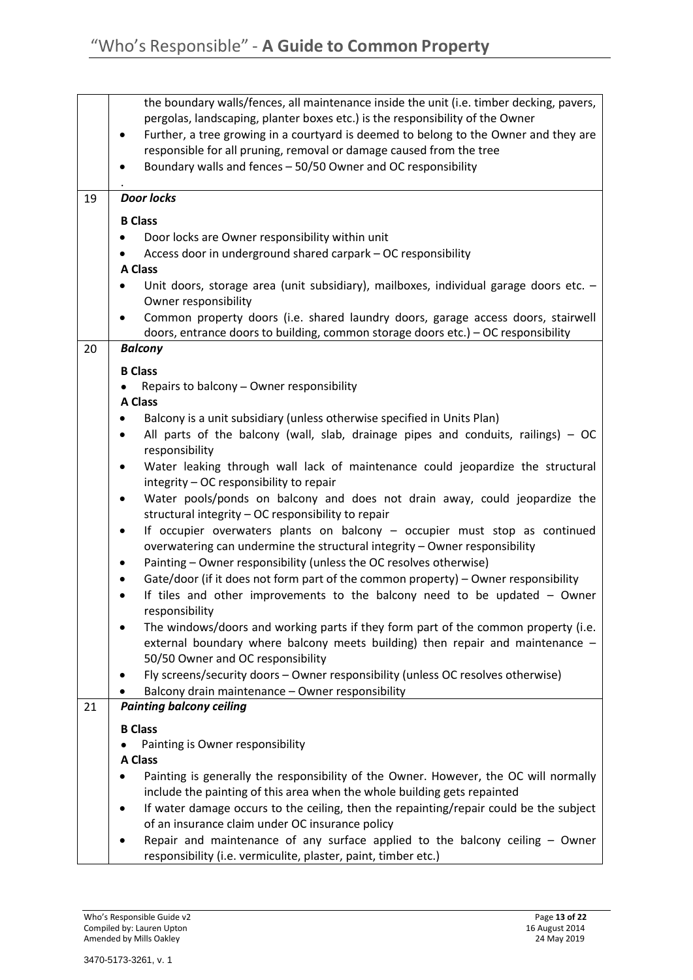|    | the boundary walls/fences, all maintenance inside the unit (i.e. timber decking, pavers,    |
|----|---------------------------------------------------------------------------------------------|
|    | pergolas, landscaping, planter boxes etc.) is the responsibility of the Owner               |
|    | Further, a tree growing in a courtyard is deemed to belong to the Owner and they are        |
|    | responsible for all pruning, removal or damage caused from the tree                         |
|    | Boundary walls and fences - 50/50 Owner and OC responsibility                               |
|    |                                                                                             |
| 19 | <b>Door locks</b>                                                                           |
|    | <b>B Class</b>                                                                              |
|    | Door locks are Owner responsibility within unit                                             |
|    | Access door in underground shared carpark - OC responsibility                               |
|    | A Class                                                                                     |
|    | Unit doors, storage area (unit subsidiary), mailboxes, individual garage doors etc. -       |
|    | Owner responsibility                                                                        |
|    | Common property doors (i.e. shared laundry doors, garage access doors, stairwell            |
|    | doors, entrance doors to building, common storage doors etc.) - OC responsibility           |
| 20 | <b>Balcony</b>                                                                              |
|    |                                                                                             |
|    | <b>B Class</b>                                                                              |
|    | Repairs to balcony - Owner responsibility                                                   |
|    | <b>A Class</b>                                                                              |
|    | Balcony is a unit subsidiary (unless otherwise specified in Units Plan)                     |
|    | All parts of the balcony (wall, slab, drainage pipes and conduits, railings) $-$ OC         |
|    | responsibility                                                                              |
|    | Water leaking through wall lack of maintenance could jeopardize the structural<br>$\bullet$ |
|    | integrity - OC responsibility to repair                                                     |
|    | Water pools/ponds on balcony and does not drain away, could jeopardize the<br>$\bullet$     |
|    | structural integrity - OC responsibility to repair                                          |
|    | If occupier overwaters plants on balcony - occupier must stop as continued<br>$\bullet$     |
|    | overwatering can undermine the structural integrity - Owner responsibility                  |
|    | Painting - Owner responsibility (unless the OC resolves otherwise)                          |
|    | Gate/door (if it does not form part of the common property) - Owner responsibility          |
|    | If tiles and other improvements to the balcony need to be updated - Owner                   |
|    | responsibility                                                                              |
|    | The windows/doors and working parts if they form part of the common property (i.e.          |
|    | external boundary where balcony meets building) then repair and maintenance $-$             |
|    | 50/50 Owner and OC responsibility                                                           |
|    | Fly screens/security doors - Owner responsibility (unless OC resolves otherwise)            |
|    | Balcony drain maintenance - Owner responsibility                                            |
| 21 | <b>Painting balcony ceiling</b>                                                             |
|    | <b>B Class</b>                                                                              |
|    |                                                                                             |
|    | Painting is Owner responsibility<br><b>A Class</b>                                          |
|    |                                                                                             |
|    | Painting is generally the responsibility of the Owner. However, the OC will normally        |
|    | include the painting of this area when the whole building gets repainted                    |
|    | If water damage occurs to the ceiling, then the repainting/repair could be the subject      |
|    | of an insurance claim under OC insurance policy                                             |
|    | Repair and maintenance of any surface applied to the balcony ceiling - Owner                |
|    | responsibility (i.e. vermiculite, plaster, paint, timber etc.)                              |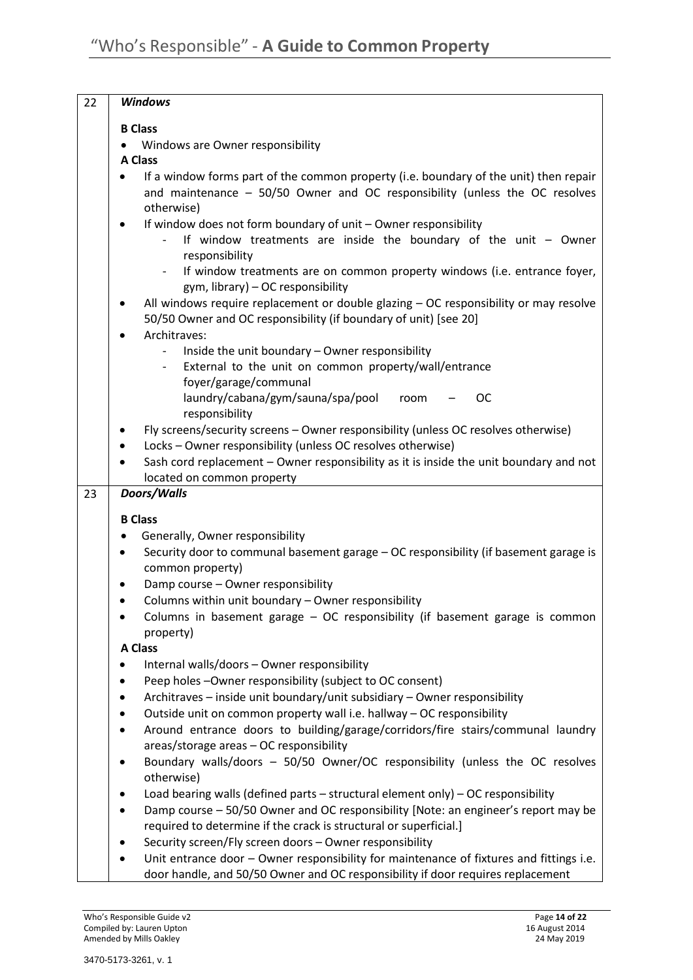| 22 | <b>Windows</b>                                                                                                                                                                                                                                                                                   |
|----|--------------------------------------------------------------------------------------------------------------------------------------------------------------------------------------------------------------------------------------------------------------------------------------------------|
|    | <b>B</b> Class                                                                                                                                                                                                                                                                                   |
|    | Windows are Owner responsibility                                                                                                                                                                                                                                                                 |
|    | <b>A Class</b>                                                                                                                                                                                                                                                                                   |
|    | If a window forms part of the common property (i.e. boundary of the unit) then repair<br>and maintenance - 50/50 Owner and OC responsibility (unless the OC resolves<br>otherwise)                                                                                                               |
|    | If window does not form boundary of unit - Owner responsibility<br>$\bullet$<br>If window treatments are inside the boundary of the unit $-$ Owner<br>responsibility<br>If window treatments are on common property windows (i.e. entrance foyer,<br>$\sim$<br>gym, library) - OC responsibility |
|    | All windows require replacement or double glazing - OC responsibility or may resolve<br>50/50 Owner and OC responsibility (if boundary of unit) [see 20]<br>Architraves:                                                                                                                         |
|    | Inside the unit boundary - Owner responsibility<br>External to the unit on common property/wall/entrance<br>foyer/garage/communal<br>laundry/cabana/gym/sauna/spa/pool<br><b>OC</b><br>room                                                                                                      |
|    | responsibility                                                                                                                                                                                                                                                                                   |
|    | Fly screens/security screens - Owner responsibility (unless OC resolves otherwise)                                                                                                                                                                                                               |
|    | Locks - Owner responsibility (unless OC resolves otherwise)                                                                                                                                                                                                                                      |
|    | Sash cord replacement - Owner responsibility as it is inside the unit boundary and not                                                                                                                                                                                                           |
|    | located on common property                                                                                                                                                                                                                                                                       |
| 23 | Doors/Walls                                                                                                                                                                                                                                                                                      |
|    | <b>B</b> Class                                                                                                                                                                                                                                                                                   |
|    | Generally, Owner responsibility                                                                                                                                                                                                                                                                  |
|    | Security door to communal basement garage - OC responsibility (if basement garage is<br>٠                                                                                                                                                                                                        |
|    | common property)                                                                                                                                                                                                                                                                                 |
|    | Damp course - Owner responsibility                                                                                                                                                                                                                                                               |
|    | Columns within unit boundary - Owner responsibility<br>Columns in basement garage - OC responsibility (if basement garage is common                                                                                                                                                              |
|    | property)                                                                                                                                                                                                                                                                                        |
|    | A Class                                                                                                                                                                                                                                                                                          |
|    | Internal walls/doors - Owner responsibility<br>٠                                                                                                                                                                                                                                                 |
|    | Peep holes -Owner responsibility (subject to OC consent)                                                                                                                                                                                                                                         |
|    | Architraves - inside unit boundary/unit subsidiary - Owner responsibility                                                                                                                                                                                                                        |
|    | Outside unit on common property wall i.e. hallway - OC responsibility                                                                                                                                                                                                                            |
|    | Around entrance doors to building/garage/corridors/fire stairs/communal laundry                                                                                                                                                                                                                  |
|    | areas/storage areas - OC responsibility                                                                                                                                                                                                                                                          |
|    | Boundary walls/doors - 50/50 Owner/OC responsibility (unless the OC resolves<br>٠<br>otherwise)                                                                                                                                                                                                  |
|    | Load bearing walls (defined parts $-$ structural element only) $-$ OC responsibility                                                                                                                                                                                                             |
|    | Damp course - 50/50 Owner and OC responsibility [Note: an engineer's report may be                                                                                                                                                                                                               |
|    | required to determine if the crack is structural or superficial.]                                                                                                                                                                                                                                |
|    | Security screen/Fly screen doors - Owner responsibility                                                                                                                                                                                                                                          |
|    | Unit entrance door - Owner responsibility for maintenance of fixtures and fittings i.e.<br>door handle, and 50/50 Owner and OC responsibility if door requires replacement                                                                                                                       |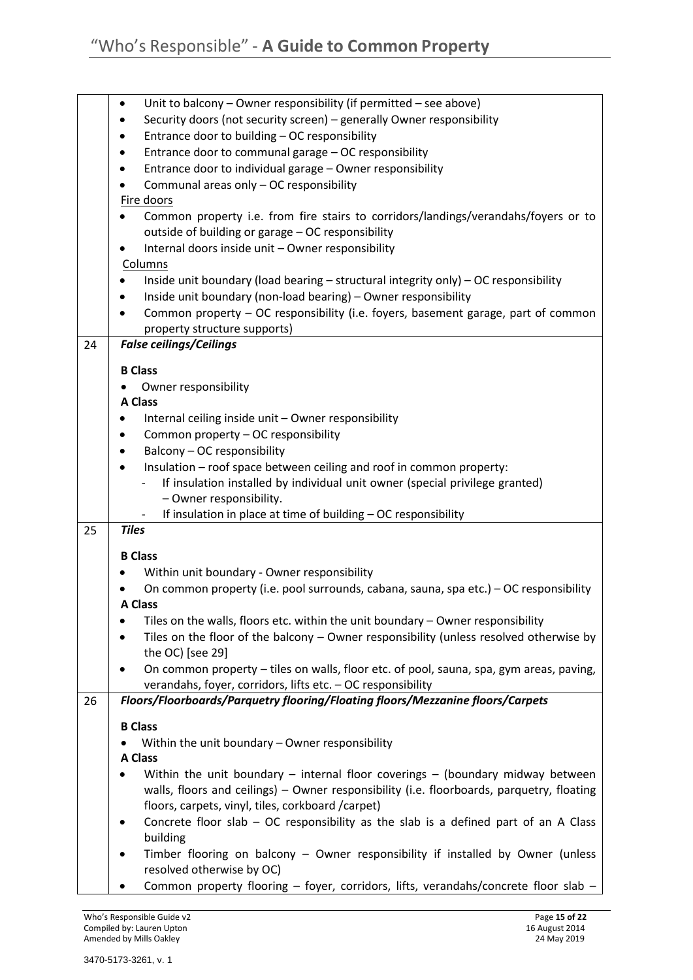|    | Unit to balcony $-$ Owner responsibility (if permitted $-$ see above)<br>٠                                       |
|----|------------------------------------------------------------------------------------------------------------------|
|    | Security doors (not security screen) - generally Owner responsibility                                            |
|    | Entrance door to building - OC responsibility                                                                    |
|    | Entrance door to communal garage - OC responsibility                                                             |
|    | Entrance door to individual garage - Owner responsibility<br>٠                                                   |
|    | Communal areas only - OC responsibility                                                                          |
|    | Fire doors                                                                                                       |
|    | Common property i.e. from fire stairs to corridors/landings/verandahs/foyers or to                               |
|    | outside of building or garage - OC responsibility                                                                |
|    | Internal doors inside unit - Owner responsibility                                                                |
|    | Columns                                                                                                          |
|    | Inside unit boundary (load bearing - structural integrity only) - OC responsibility                              |
|    | Inside unit boundary (non-load bearing) - Owner responsibility                                                   |
|    | Common property - OC responsibility (i.e. foyers, basement garage, part of common                                |
|    | property structure supports)                                                                                     |
| 24 | <b>False ceilings/Ceilings</b>                                                                                   |
|    |                                                                                                                  |
|    | <b>B</b> Class                                                                                                   |
|    | Owner responsibility                                                                                             |
|    | <b>A Class</b>                                                                                                   |
|    | Internal ceiling inside unit - Owner responsibility                                                              |
|    | Common property - OC responsibility                                                                              |
|    | Balcony - OC responsibility                                                                                      |
|    | Insulation - roof space between ceiling and roof in common property:                                             |
|    | If insulation installed by individual unit owner (special privilege granted)                                     |
|    | - Owner responsibility.                                                                                          |
|    | If insulation in place at time of building - OC responsibility                                                   |
| 25 | <b>Tiles</b>                                                                                                     |
|    | <b>B Class</b>                                                                                                   |
|    | Within unit boundary - Owner responsibility                                                                      |
|    | On common property (i.e. pool surrounds, cabana, sauna, spa etc.) - OC responsibility                            |
|    | <b>A Class</b>                                                                                                   |
|    | Tiles on the walls, floors etc. within the unit boundary - Owner responsibility                                  |
|    | Tiles on the floor of the balcony - Owner responsibility (unless resolved otherwise by                           |
|    | the OC) [see 29]                                                                                                 |
|    | On common property - tiles on walls, floor etc. of pool, sauna, spa, gym areas, paving,                          |
|    | verandahs, foyer, corridors, lifts etc. - OC responsibility                                                      |
| 26 | Floors/Floorboards/Parquetry flooring/Floating floors/Mezzanine floors/Carpets                                   |
|    |                                                                                                                  |
|    | <b>B Class</b>                                                                                                   |
|    | Within the unit boundary - Owner responsibility<br><b>A Class</b>                                                |
|    |                                                                                                                  |
|    | Within the unit boundary $-$ internal floor coverings $-$ (boundary midway between                               |
|    | walls, floors and ceilings) - Owner responsibility (i.e. floorboards, parquetry, floating                        |
|    | floors, carpets, vinyl, tiles, corkboard /carpet)                                                                |
|    |                                                                                                                  |
|    | Concrete floor slab $-$ OC responsibility as the slab is a defined part of an A Class                            |
|    | building                                                                                                         |
|    | Timber flooring on balcony - Owner responsibility if installed by Owner (unless                                  |
|    | resolved otherwise by OC)<br>Common property flooring - foyer, corridors, lifts, verandahs/concrete floor slab - |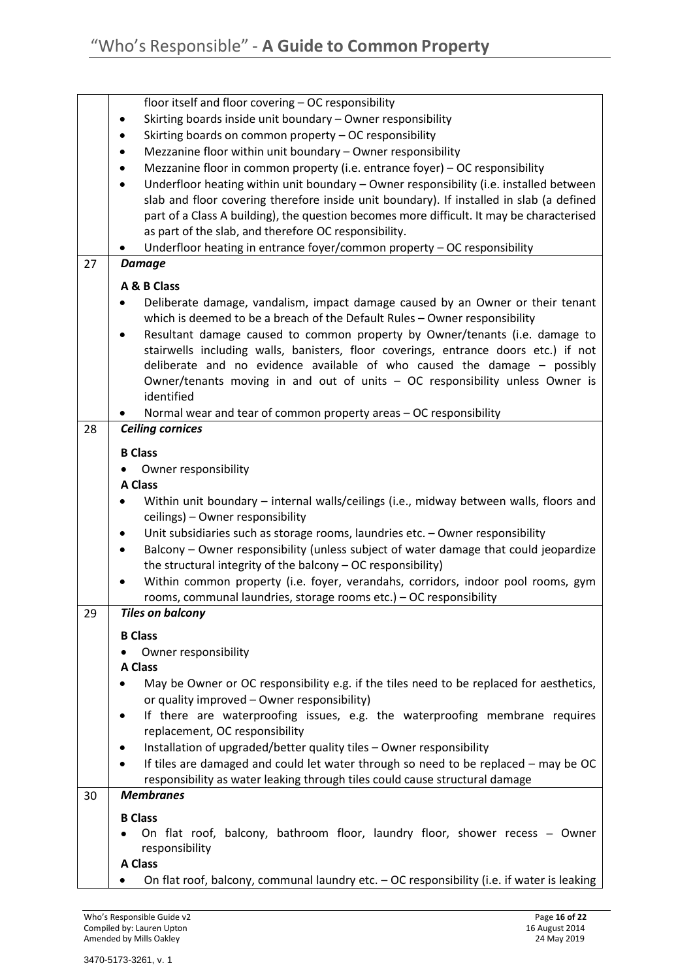|    | floor itself and floor covering - OC responsibility                                                 |
|----|-----------------------------------------------------------------------------------------------------|
|    | Skirting boards inside unit boundary - Owner responsibility                                         |
|    | Skirting boards on common property - OC responsibility<br>٠                                         |
|    | Mezzanine floor within unit boundary - Owner responsibility                                         |
|    | Mezzanine floor in common property (i.e. entrance foyer) - OC responsibility                        |
|    | Underfloor heating within unit boundary - Owner responsibility (i.e. installed between<br>$\bullet$ |
|    | slab and floor covering therefore inside unit boundary). If installed in slab (a defined            |
|    | part of a Class A building), the question becomes more difficult. It may be characterised           |
|    | as part of the slab, and therefore OC responsibility.                                               |
|    | Underfloor heating in entrance foyer/common property - OC responsibility                            |
| 27 | <b>Damage</b>                                                                                       |
|    | A & B Class                                                                                         |
|    | Deliberate damage, vandalism, impact damage caused by an Owner or their tenant                      |
|    | which is deemed to be a breach of the Default Rules - Owner responsibility                          |
|    | Resultant damage caused to common property by Owner/tenants (i.e. damage to                         |
|    | stairwells including walls, banisters, floor coverings, entrance doors etc.) if not                 |
|    | deliberate and no evidence available of who caused the damage - possibly                            |
|    | Owner/tenants moving in and out of units - OC responsibility unless Owner is                        |
|    | identified                                                                                          |
|    | Normal wear and tear of common property areas - OC responsibility                                   |
| 28 | <b>Ceiling cornices</b>                                                                             |
|    | <b>B Class</b>                                                                                      |
|    | Owner responsibility                                                                                |
|    | <b>A Class</b>                                                                                      |
|    | Within unit boundary - internal walls/ceilings (i.e., midway between walls, floors and              |
|    | ceilings) - Owner responsibility                                                                    |
|    | Unit subsidiaries such as storage rooms, laundries etc. - Owner responsibility<br>٠                 |
|    | Balcony - Owner responsibility (unless subject of water damage that could jeopardize<br>٠           |
|    | the structural integrity of the balcony - OC responsibility)                                        |
|    | Within common property (i.e. foyer, verandahs, corridors, indoor pool rooms, gym                    |
|    | rooms, communal laundries, storage rooms etc.) - OC responsibility                                  |
| 29 | <b>Tiles on balcony</b>                                                                             |
|    |                                                                                                     |
|    | <b>B Class</b>                                                                                      |
|    | Owner responsibility                                                                                |
|    | <b>A Class</b>                                                                                      |
|    | May be Owner or OC responsibility e.g. if the tiles need to be replaced for aesthetics,             |
|    | or quality improved - Owner responsibility)                                                         |
|    | If there are waterproofing issues, e.g. the waterproofing membrane requires                         |
|    | replacement, OC responsibility                                                                      |
|    | Installation of upgraded/better quality tiles - Owner responsibility                                |
|    | If tiles are damaged and could let water through so need to be replaced - may be OC<br>$\bullet$    |
|    | responsibility as water leaking through tiles could cause structural damage                         |
| 30 | <b>Membranes</b>                                                                                    |
|    | <b>B</b> Class                                                                                      |
|    | On flat roof, balcony, bathroom floor, laundry floor, shower recess - Owner                         |
|    | responsibility                                                                                      |
|    | <b>A Class</b>                                                                                      |
|    | On flat roof, balcony, communal laundry etc. - OC responsibility (i.e. if water is leaking          |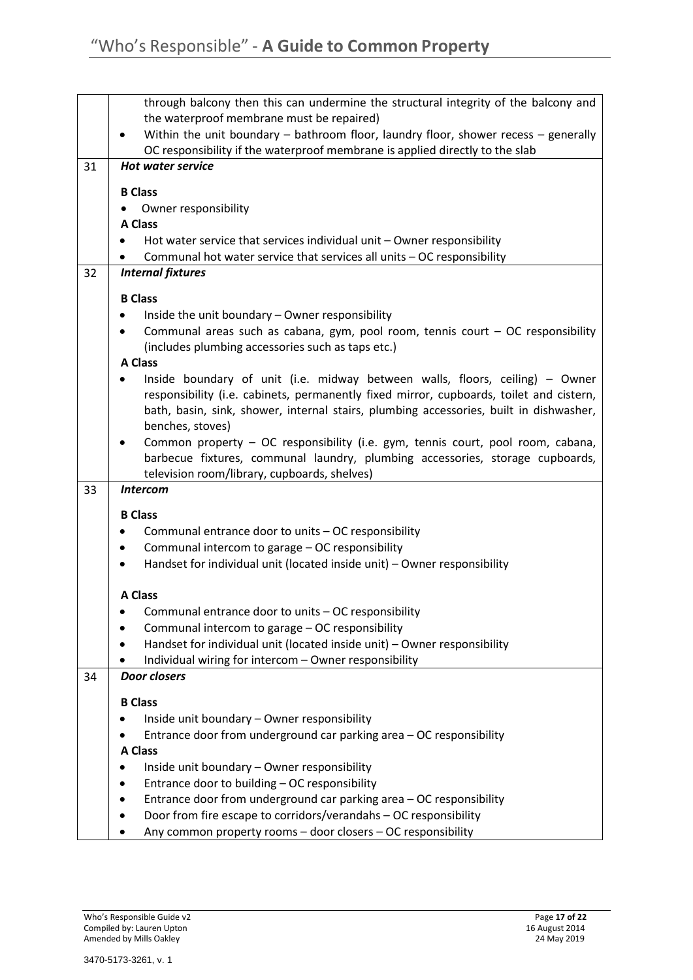|    | through balcony then this can undermine the structural integrity of the balcony and<br>the waterproof membrane must be repaired) |
|----|----------------------------------------------------------------------------------------------------------------------------------|
|    | Within the unit boundary – bathroom floor, laundry floor, shower recess – generally                                              |
|    | OC responsibility if the waterproof membrane is applied directly to the slab                                                     |
| 31 | <b>Hot water service</b>                                                                                                         |
|    |                                                                                                                                  |
|    | <b>B Class</b>                                                                                                                   |
|    | Owner responsibility<br><b>A Class</b>                                                                                           |
|    | Hot water service that services individual unit - Owner responsibility                                                           |
|    | Communal hot water service that services all units - OC responsibility                                                           |
| 32 | <b>Internal fixtures</b>                                                                                                         |
|    |                                                                                                                                  |
|    | <b>B Class</b>                                                                                                                   |
|    | Inside the unit boundary - Owner responsibility                                                                                  |
|    | Communal areas such as cabana, gym, pool room, tennis court $-$ OC responsibility                                                |
|    | (includes plumbing accessories such as taps etc.)<br><b>A Class</b>                                                              |
|    | Inside boundary of unit (i.e. midway between walls, floors, ceiling) - Owner                                                     |
|    | responsibility (i.e. cabinets, permanently fixed mirror, cupboards, toilet and cistern,                                          |
|    | bath, basin, sink, shower, internal stairs, plumbing accessories, built in dishwasher,                                           |
|    | benches, stoves)                                                                                                                 |
|    | Common property - OC responsibility (i.e. gym, tennis court, pool room, cabana,                                                  |
|    | barbecue fixtures, communal laundry, plumbing accessories, storage cupboards,                                                    |
|    | television room/library, cupboards, shelves)                                                                                     |
| 33 | <b>Intercom</b>                                                                                                                  |
|    | <b>B</b> Class                                                                                                                   |
|    | Communal entrance door to units - OC responsibility                                                                              |
|    | Communal intercom to garage - OC responsibility                                                                                  |
|    | Handset for individual unit (located inside unit) - Owner responsibility                                                         |
|    |                                                                                                                                  |
|    | <b>A Class</b>                                                                                                                   |
|    | Communal entrance door to units - OC responsibility                                                                              |
|    | Communal intercom to garage - OC responsibility                                                                                  |
|    | Handset for individual unit (located inside unit) - Owner responsibility                                                         |
| 34 | Individual wiring for intercom - Owner responsibility<br><b>Door closers</b>                                                     |
|    |                                                                                                                                  |
|    | <b>B Class</b>                                                                                                                   |
|    | Inside unit boundary - Owner responsibility                                                                                      |
|    | Entrance door from underground car parking area - OC responsibility                                                              |
|    | <b>A Class</b>                                                                                                                   |
|    | Inside unit boundary - Owner responsibility                                                                                      |
|    | Entrance door to building - OC responsibility                                                                                    |
|    | Entrance door from underground car parking area - OC responsibility                                                              |
|    | Door from fire escape to corridors/verandahs - OC responsibility                                                                 |
|    | Any common property rooms - door closers - OC responsibility                                                                     |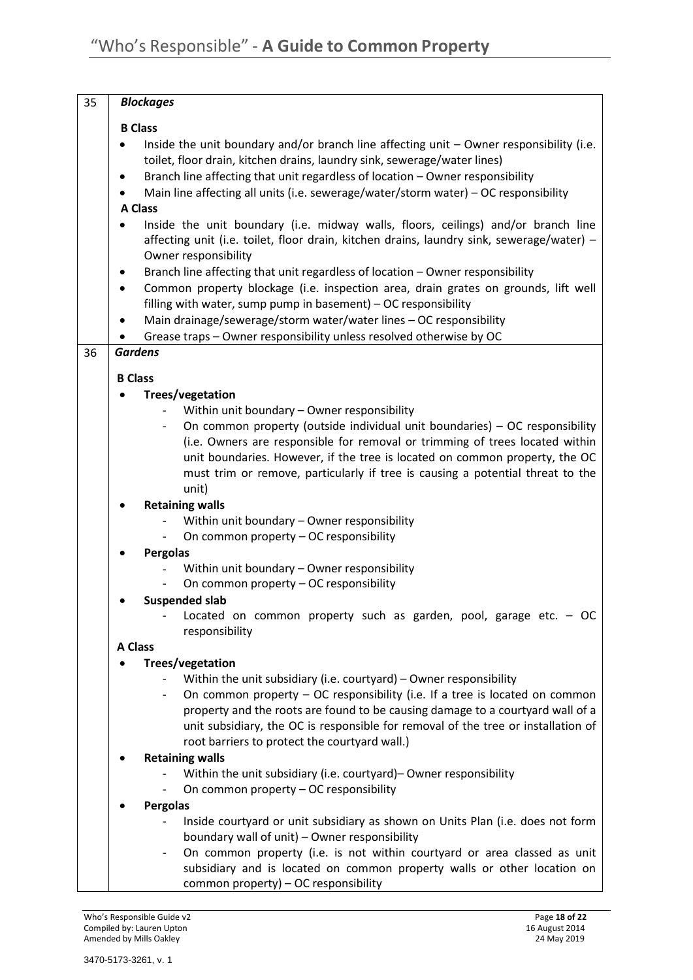| 35 | <b>Blockages</b>                                                                                                                                                                                                                                                                                                                                 |
|----|--------------------------------------------------------------------------------------------------------------------------------------------------------------------------------------------------------------------------------------------------------------------------------------------------------------------------------------------------|
|    | <b>B Class</b>                                                                                                                                                                                                                                                                                                                                   |
|    | Inside the unit boundary and/or branch line affecting unit - Owner responsibility (i.e.<br>toilet, floor drain, kitchen drains, laundry sink, sewerage/water lines)<br>Branch line affecting that unit regardless of location - Owner responsibility<br>٠<br>Main line affecting all units (i.e. sewerage/water/storm water) - OC responsibility |
|    | <b>A Class</b>                                                                                                                                                                                                                                                                                                                                   |
|    | Inside the unit boundary (i.e. midway walls, floors, ceilings) and/or branch line<br>affecting unit (i.e. toilet, floor drain, kitchen drains, laundry sink, sewerage/water) -<br>Owner responsibility                                                                                                                                           |
|    | Branch line affecting that unit regardless of location - Owner responsibility<br>٠                                                                                                                                                                                                                                                               |
|    | Common property blockage (i.e. inspection area, drain grates on grounds, lift well<br>٠                                                                                                                                                                                                                                                          |
|    | filling with water, sump pump in basement) - OC responsibility                                                                                                                                                                                                                                                                                   |
|    | Main drainage/sewerage/storm water/water lines - OC responsibility                                                                                                                                                                                                                                                                               |
|    | Grease traps - Owner responsibility unless resolved otherwise by OC                                                                                                                                                                                                                                                                              |
| 36 | <b>Gardens</b>                                                                                                                                                                                                                                                                                                                                   |
|    | <b>B Class</b>                                                                                                                                                                                                                                                                                                                                   |
|    | Trees/vegetation                                                                                                                                                                                                                                                                                                                                 |
|    | Within unit boundary - Owner responsibility                                                                                                                                                                                                                                                                                                      |
|    | On common property (outside individual unit boundaries) – OC responsibility                                                                                                                                                                                                                                                                      |
|    | (i.e. Owners are responsible for removal or trimming of trees located within                                                                                                                                                                                                                                                                     |
|    | unit boundaries. However, if the tree is located on common property, the OC                                                                                                                                                                                                                                                                      |
|    | must trim or remove, particularly if tree is causing a potential threat to the<br>unit)                                                                                                                                                                                                                                                          |
|    | <b>Retaining walls</b>                                                                                                                                                                                                                                                                                                                           |
|    | Within unit boundary - Owner responsibility                                                                                                                                                                                                                                                                                                      |
|    | On common property - OC responsibility                                                                                                                                                                                                                                                                                                           |
|    | <b>Pergolas</b>                                                                                                                                                                                                                                                                                                                                  |
|    | Within unit boundary - Owner responsibility                                                                                                                                                                                                                                                                                                      |
|    | On common property - OC responsibility                                                                                                                                                                                                                                                                                                           |
|    | <b>Suspended slab</b>                                                                                                                                                                                                                                                                                                                            |
|    | Located on common property such as garden, pool, garage etc. $-OC$<br>responsibility                                                                                                                                                                                                                                                             |
|    | <b>A Class</b>                                                                                                                                                                                                                                                                                                                                   |
|    | Trees/vegetation<br>Within the unit subsidiary (i.e. courtyard) $-$ Owner responsibility                                                                                                                                                                                                                                                         |
|    | On common property - OC responsibility (i.e. If a tree is located on common                                                                                                                                                                                                                                                                      |
|    | property and the roots are found to be causing damage to a courtyard wall of a                                                                                                                                                                                                                                                                   |
|    | unit subsidiary, the OC is responsible for removal of the tree or installation of                                                                                                                                                                                                                                                                |
|    | root barriers to protect the courtyard wall.)                                                                                                                                                                                                                                                                                                    |
|    | <b>Retaining walls</b>                                                                                                                                                                                                                                                                                                                           |
|    | Within the unit subsidiary (i.e. courtyard) – Owner responsibility                                                                                                                                                                                                                                                                               |
|    | On common property - OC responsibility                                                                                                                                                                                                                                                                                                           |
|    | <b>Pergolas</b>                                                                                                                                                                                                                                                                                                                                  |
|    | Inside courtyard or unit subsidiary as shown on Units Plan (i.e. does not form                                                                                                                                                                                                                                                                   |
|    | boundary wall of unit) - Owner responsibility<br>On common property (i.e. is not within courtyard or area classed as unit<br>-                                                                                                                                                                                                                   |
|    | subsidiary and is located on common property walls or other location on                                                                                                                                                                                                                                                                          |
|    | common property) - OC responsibility                                                                                                                                                                                                                                                                                                             |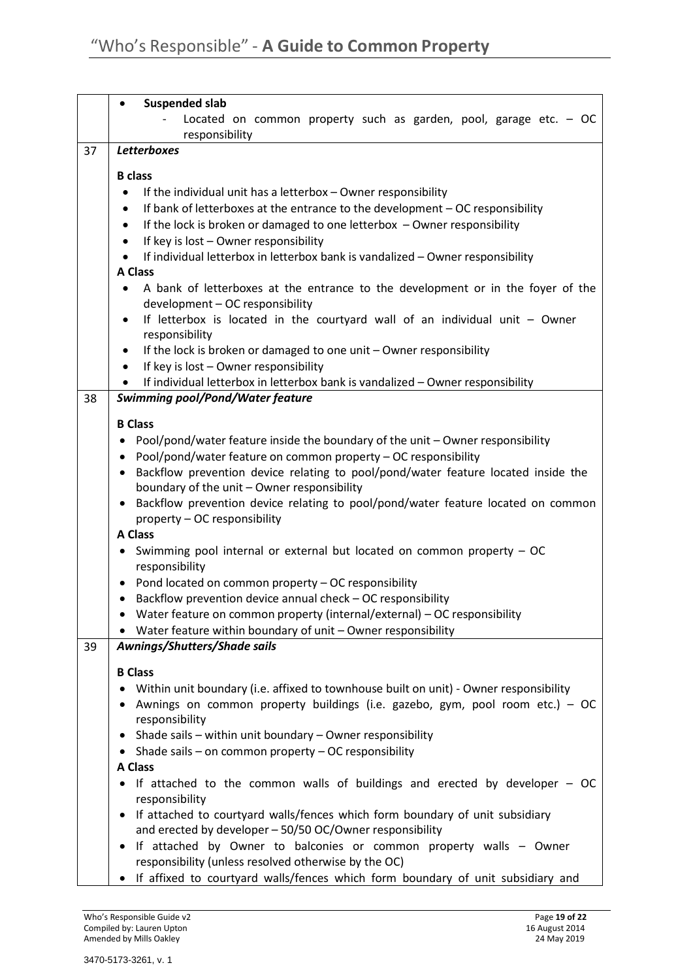|    | Suspended slab                                                                                                                                                                |
|----|-------------------------------------------------------------------------------------------------------------------------------------------------------------------------------|
|    | Located on common property such as garden, pool, garage etc. - OC<br>responsibility                                                                                           |
| 37 | <b>Letterboxes</b>                                                                                                                                                            |
|    | <b>B</b> class                                                                                                                                                                |
|    | If the individual unit has a letterbox - Owner responsibility                                                                                                                 |
|    | If bank of letterboxes at the entrance to the development - OC responsibility<br>$\bullet$                                                                                    |
|    | If the lock is broken or damaged to one letterbox - Owner responsibility<br>$\bullet$                                                                                         |
|    | If key is lost - Owner responsibility                                                                                                                                         |
|    | If individual letterbox in letterbox bank is vandalized - Owner responsibility<br><b>A Class</b>                                                                              |
|    | A bank of letterboxes at the entrance to the development or in the foyer of the<br>$\bullet$                                                                                  |
|    | development - OC responsibility                                                                                                                                               |
|    | If letterbox is located in the courtyard wall of an individual unit - Owner<br>$\bullet$                                                                                      |
|    | responsibility                                                                                                                                                                |
|    | If the lock is broken or damaged to one unit - Owner responsibility<br>٠                                                                                                      |
|    | If key is lost - Owner responsibility<br>If individual letterbox in letterbox bank is vandalized - Owner responsibility                                                       |
| 38 | <b>Swimming pool/Pond/Water feature</b>                                                                                                                                       |
|    |                                                                                                                                                                               |
|    | <b>B Class</b>                                                                                                                                                                |
|    | Pool/pond/water feature inside the boundary of the unit - Owner responsibility                                                                                                |
|    | Pool/pond/water feature on common property - OC responsibility<br>$\bullet$<br>Backflow prevention device relating to pool/pond/water feature located inside the<br>$\bullet$ |
|    | boundary of the unit - Owner responsibility                                                                                                                                   |
|    | Backflow prevention device relating to pool/pond/water feature located on common<br>$\bullet$<br>property - OC responsibility                                                 |
|    | <b>A Class</b>                                                                                                                                                                |
|    | Swimming pool internal or external but located on common property - OC<br>$\bullet$<br>responsibility                                                                         |
|    | Pond located on common property - OC responsibility<br>$\bullet$                                                                                                              |
|    | Backflow prevention device annual check - OC responsibility<br>$\bullet$                                                                                                      |
|    | Water feature on common property (internal/external) - OC responsibility<br>• Water feature within boundary of unit - Owner responsibility                                    |
| 39 | Awnings/Shutters/Shade sails                                                                                                                                                  |
|    |                                                                                                                                                                               |
|    | <b>B Class</b>                                                                                                                                                                |
|    | Within unit boundary (i.e. affixed to townhouse built on unit) - Owner responsibility<br>Awnings on common property buildings (i.e. gazebo, gym, pool room etc.) – OC         |
|    | responsibility                                                                                                                                                                |
|    | Shade sails - within unit boundary - Owner responsibility                                                                                                                     |
|    | Shade sails - on common property - OC responsibility<br>$\bullet$                                                                                                             |
|    | <b>A Class</b>                                                                                                                                                                |
|    | If attached to the common walls of buildings and erected by developer $-$ OC<br>responsibility                                                                                |
|    | If attached to courtyard walls/fences which form boundary of unit subsidiary<br>$\bullet$<br>and erected by developer - 50/50 OC/Owner responsibility                         |
|    | If attached by Owner to balconies or common property walls - Owner<br>$\bullet$                                                                                               |
|    | responsibility (unless resolved otherwise by the OC)                                                                                                                          |
|    | If affixed to courtyard walls/fences which form boundary of unit subsidiary and<br>$\bullet$                                                                                  |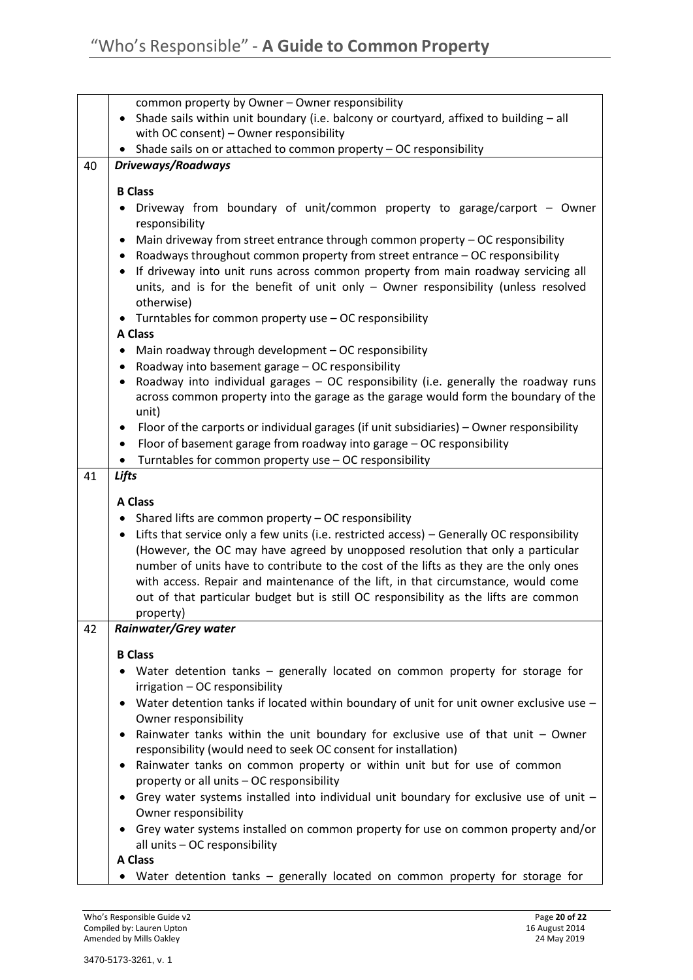|    | common property by Owner - Owner responsibility                                                                                     |
|----|-------------------------------------------------------------------------------------------------------------------------------------|
|    | Shade sails within unit boundary (i.e. balcony or courtyard, affixed to building $-$ all<br>with OC consent) - Owner responsibility |
|    | Shade sails on or attached to common property - OC responsibility                                                                   |
| 40 | Driveways/Roadways                                                                                                                  |
|    | <b>B Class</b>                                                                                                                      |
|    | Driveway from boundary of unit/common property to garage/carport - Owner                                                            |
|    | responsibility                                                                                                                      |
|    | Main driveway from street entrance through common property - OC responsibility                                                      |
|    | Roadways throughout common property from street entrance - OC responsibility                                                        |
|    | If driveway into unit runs across common property from main roadway servicing all                                                   |
|    | units, and is for the benefit of unit only $-$ Owner responsibility (unless resolved<br>otherwise)                                  |
|    | • Turntables for common property use - OC responsibility                                                                            |
|    | <b>A Class</b>                                                                                                                      |
|    | Main roadway through development - OC responsibility<br>٠                                                                           |
|    | Roadway into basement garage - OC responsibility                                                                                    |
|    | Roadway into individual garages - OC responsibility (i.e. generally the roadway runs                                                |
|    | across common property into the garage as the garage would form the boundary of the<br>unit)                                        |
|    | Floor of the carports or individual garages (if unit subsidiaries) - Owner responsibility                                           |
|    | Floor of basement garage from roadway into garage - OC responsibility<br>$\bullet$                                                  |
|    | Turntables for common property use - OC responsibility                                                                              |
| 41 | Lifts                                                                                                                               |
|    | <b>A Class</b>                                                                                                                      |
|    | Shared lifts are common property - OC responsibility<br>٠                                                                           |
|    | Lifts that service only a few units (i.e. restricted access) - Generally OC responsibility                                          |
|    | (However, the OC may have agreed by unopposed resolution that only a particular                                                     |
|    | number of units have to contribute to the cost of the lifts as they are the only ones                                               |
|    | with access. Repair and maintenance of the lift, in that circumstance, would come                                                   |
|    | out of that particular budget but is still OC responsibility as the lifts are common                                                |
| 42 | property)<br><b>Rainwater/Grey water</b>                                                                                            |
|    |                                                                                                                                     |
|    | <b>B Class</b>                                                                                                                      |
|    | Water detention tanks - generally located on common property for storage for                                                        |
|    | irrigation - OC responsibility<br>Water detention tanks if located within boundary of unit for unit owner exclusive use -           |
|    | Owner responsibility                                                                                                                |
|    | Rainwater tanks within the unit boundary for exclusive use of that unit $-$ Owner                                                   |
|    | responsibility (would need to seek OC consent for installation)                                                                     |
|    | Rainwater tanks on common property or within unit but for use of common                                                             |
|    | property or all units - OC responsibility                                                                                           |
|    | Grey water systems installed into individual unit boundary for exclusive use of unit $-$<br>$\bullet$<br>Owner responsibility       |
|    | Grey water systems installed on common property for use on common property and/or                                                   |
|    | all units - OC responsibility                                                                                                       |
|    | <b>A Class</b>                                                                                                                      |
|    | • Water detention tanks - generally located on common property for storage for                                                      |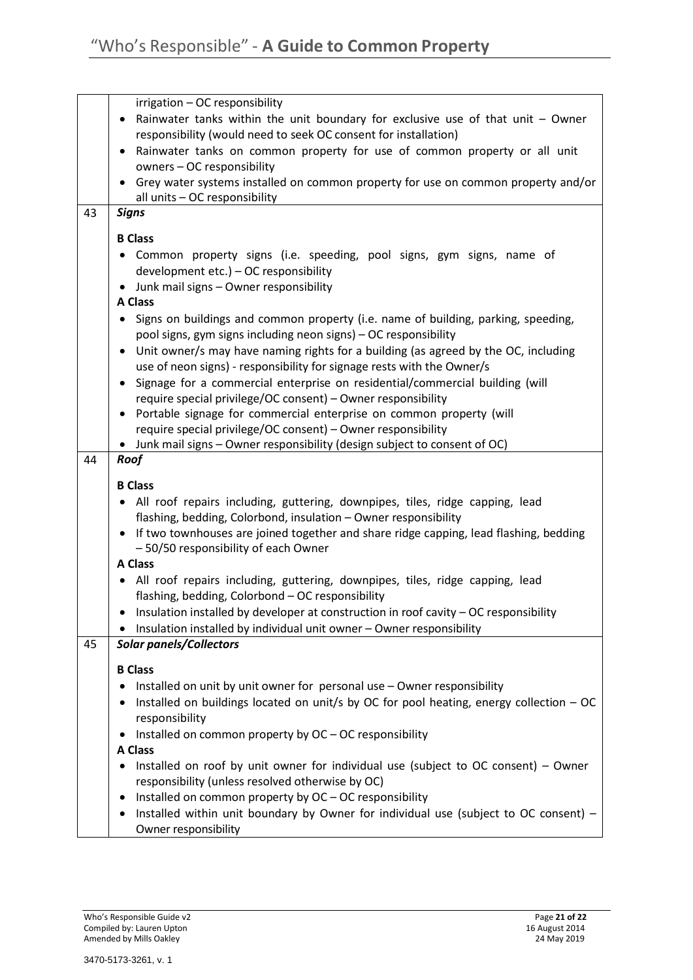| 43 | irrigation - OC responsibility<br>Rainwater tanks within the unit boundary for exclusive use of that unit - Owner<br>$\bullet$<br>responsibility (would need to seek OC consent for installation)<br>Rainwater tanks on common property for use of common property or all unit<br>owners - OC responsibility<br>• Grey water systems installed on common property for use on common property and/or<br>all units - OC responsibility<br><b>Signs</b> |
|----|------------------------------------------------------------------------------------------------------------------------------------------------------------------------------------------------------------------------------------------------------------------------------------------------------------------------------------------------------------------------------------------------------------------------------------------------------|
|    |                                                                                                                                                                                                                                                                                                                                                                                                                                                      |
|    | <b>B Class</b><br>Common property signs (i.e. speeding, pool signs, gym signs, name of<br>development etc.) - OC responsibility<br>Junk mail signs - Owner responsibility<br><b>A Class</b>                                                                                                                                                                                                                                                          |
|    | Signs on buildings and common property (i.e. name of building, parking, speeding,<br>pool signs, gym signs including neon signs) - OC responsibility<br>Unit owner/s may have naming rights for a building (as agreed by the OC, including                                                                                                                                                                                                           |
|    | use of neon signs) - responsibility for signage rests with the Owner/s<br>Signage for a commercial enterprise on residential/commercial building (will<br>$\bullet$<br>require special privilege/OC consent) - Owner responsibility                                                                                                                                                                                                                  |
|    | Portable signage for commercial enterprise on common property (will<br>$\bullet$<br>require special privilege/OC consent) - Owner responsibility<br>Junk mail signs - Owner responsibility (design subject to consent of OC)                                                                                                                                                                                                                         |
| 44 | Roof                                                                                                                                                                                                                                                                                                                                                                                                                                                 |
|    | <b>B Class</b><br>All roof repairs including, guttering, downpipes, tiles, ridge capping, lead<br>$\bullet$<br>flashing, bedding, Colorbond, insulation - Owner responsibility<br>• If two townhouses are joined together and share ridge capping, lead flashing, bedding<br>- 50/50 responsibility of each Owner<br><b>A Class</b>                                                                                                                  |
|    | All roof repairs including, guttering, downpipes, tiles, ridge capping, lead<br>$\bullet$                                                                                                                                                                                                                                                                                                                                                            |
|    | flashing, bedding, Colorbond - OC responsibility<br>Insulation installed by developer at construction in roof cavity - OC responsibility<br>Insulation installed by individual unit owner - Owner responsibility                                                                                                                                                                                                                                     |
| 45 | <b>Solar panels/Collectors</b>                                                                                                                                                                                                                                                                                                                                                                                                                       |
|    | <b>B Class</b><br>Installed on unit by unit owner for personal use - Owner responsibility                                                                                                                                                                                                                                                                                                                                                            |
|    | Installed on buildings located on unit/s by OC for pool heating, energy collection - OC<br>responsibility                                                                                                                                                                                                                                                                                                                                            |
|    | Installed on common property by OC - OC responsibility                                                                                                                                                                                                                                                                                                                                                                                               |
|    | <b>A Class</b><br>Installed on roof by unit owner for individual use (subject to OC consent) - Owner                                                                                                                                                                                                                                                                                                                                                 |
|    | responsibility (unless resolved otherwise by OC)                                                                                                                                                                                                                                                                                                                                                                                                     |
|    | Installed on common property by OC - OC responsibility                                                                                                                                                                                                                                                                                                                                                                                               |
|    | Installed within unit boundary by Owner for individual use (subject to OC consent) -<br>Owner responsibility                                                                                                                                                                                                                                                                                                                                         |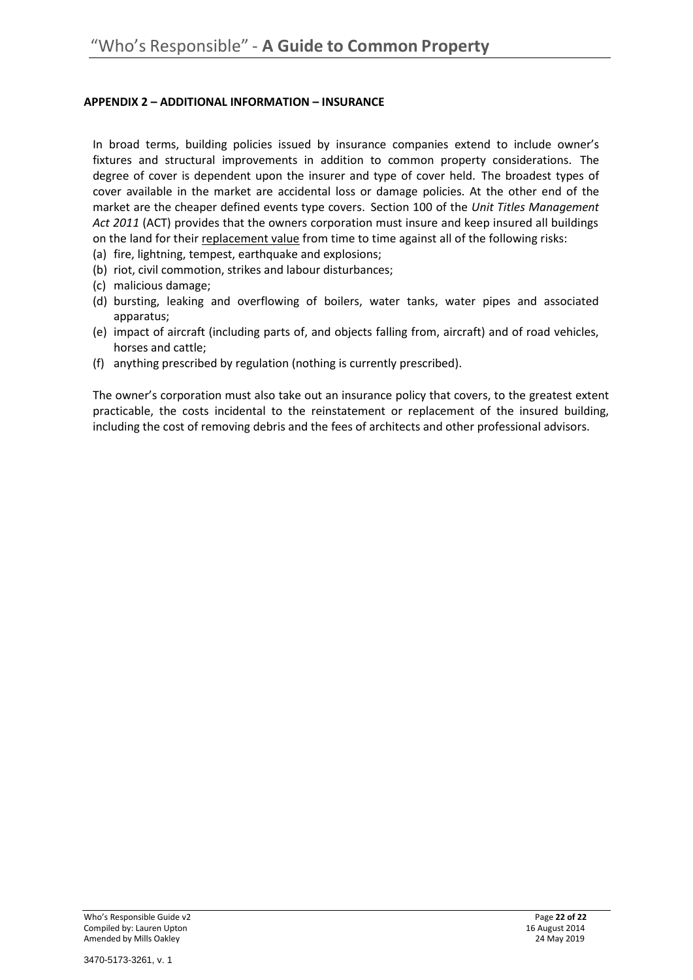# **APPENDIX 2 – ADDITIONAL INFORMATION – INSURANCE**

In broad terms, building policies issued by insurance companies extend to include owner's fixtures and structural improvements in addition to common property considerations. The degree of cover is dependent upon the insurer and type of cover held. The broadest types of cover available in the market are accidental loss or damage policies. At the other end of the market are the cheaper defined events type covers. Section 100 of the *Unit Titles Management Act 2011* (ACT) provides that the owners corporation must insure and keep insured all buildings on the land for their replacement value from time to time against all of the following risks:

- (a) fire, lightning, tempest, earthquake and explosions;
- (b) riot, civil commotion, strikes and labour disturbances;
- (c) malicious damage;
- (d) bursting, leaking and overflowing of boilers, water tanks, water pipes and associated apparatus;
- (e) impact of aircraft (including parts of, and objects falling from, aircraft) and of road vehicles, horses and cattle;
- (f) anything prescribed by regulation (nothing is currently prescribed).

The owner's corporation must also take out an insurance policy that covers, to the greatest extent practicable, the costs incidental to the reinstatement or replacement of the insured building, including the cost of removing debris and the fees of architects and other professional advisors.